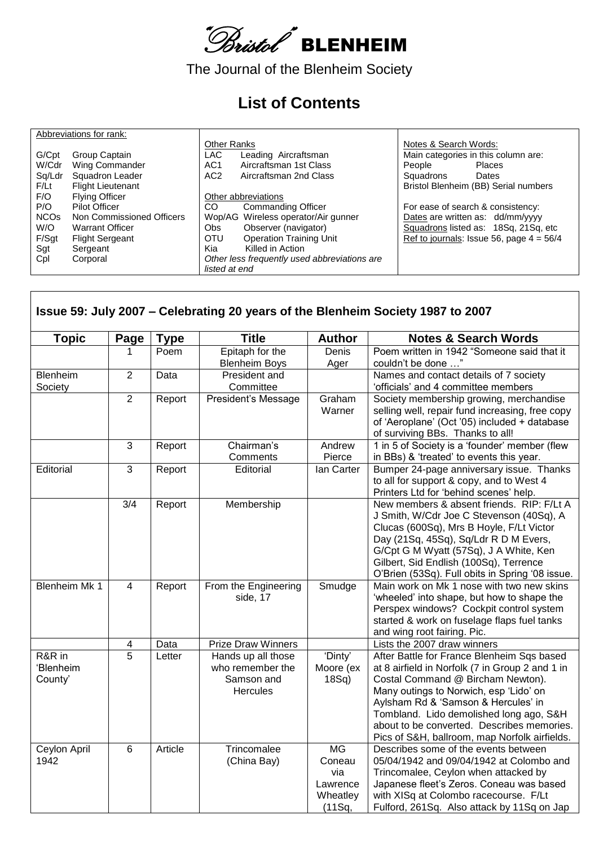

The Journal of the Blenheim Society

## **List of Contents**

|                        | Abbreviations for rank:   |                                              |                                            |
|------------------------|---------------------------|----------------------------------------------|--------------------------------------------|
|                        |                           | <b>Other Ranks</b>                           | Notes & Search Words:                      |
| G/Cpt                  | Group Captain             | LAC.<br>Leading Aircraftsman                 | Main categories in this column are:        |
| W/Cdr                  | Wing Commander            | Aircraftsman 1st Class<br>AC <sub>1</sub>    | People<br>Places                           |
| Sq/Ldr                 | Squadron Leader           | AC <sub>2</sub><br>Aircraftsman 2nd Class    | Squadrons<br>Dates                         |
| F/Lt                   | <b>Flight Lieutenant</b>  |                                              | Bristol Blenheim (BB) Serial numbers       |
| F/O                    | <b>Flying Officer</b>     | Other abbreviations                          |                                            |
| P/O                    | Pilot Officer             | CO<br>Commanding Officer                     | For ease of search & consistency:          |
| <b>NCO<sub>s</sub></b> | Non Commissioned Officers | Wop/AG Wireless operator/Air gunner          | Dates are written as: dd/mm/yyyy           |
| W/O                    | <b>Warrant Officer</b>    | Observer (navigator)<br>Obs.                 | Squadrons listed as: 18Sq, 21Sq, etc       |
| F/Sqt                  | <b>Flight Sergeant</b>    | <b>Operation Training Unit</b><br><b>OTU</b> | Ref to journals: Issue 56, page $4 = 56/4$ |
| Sgt                    | Sergeant                  | Killed in Action<br>Kia                      |                                            |
| Cpl                    | Corporal                  | Other less frequently used abbreviations are |                                            |
|                        |                           | listed at end                                |                                            |

 $\mathbf{r}$ 

| <b>Topic</b>                   | Page            | <b>Type</b> | <b>Title</b>                                                            | <b>Author</b>                                                | <b>Notes &amp; Search Words</b>                                                                                                                                                                                                                                                                                                                               |
|--------------------------------|-----------------|-------------|-------------------------------------------------------------------------|--------------------------------------------------------------|---------------------------------------------------------------------------------------------------------------------------------------------------------------------------------------------------------------------------------------------------------------------------------------------------------------------------------------------------------------|
|                                | 1               | Poem        | Epitaph for the                                                         | <b>Denis</b>                                                 | Poem written in 1942 "Someone said that it                                                                                                                                                                                                                                                                                                                    |
|                                |                 |             | <b>Blenheim Boys</b>                                                    | Ager                                                         | couldn't be done "                                                                                                                                                                                                                                                                                                                                            |
| Blenheim                       | $\overline{2}$  | Data        | President and                                                           |                                                              | Names and contact details of 7 society                                                                                                                                                                                                                                                                                                                        |
| Society                        |                 |             | Committee                                                               |                                                              | 'officials' and 4 committee members                                                                                                                                                                                                                                                                                                                           |
|                                | $\overline{2}$  | Report      | President's Message                                                     | Graham<br>Warner                                             | Society membership growing, merchandise<br>selling well, repair fund increasing, free copy<br>of 'Aeroplane' (Oct '05) included + database<br>of surviving BBs. Thanks to all!                                                                                                                                                                                |
|                                | 3               | Report      | Chairman's                                                              | Andrew                                                       | 1 in 5 of Society is a 'founder' member (flew                                                                                                                                                                                                                                                                                                                 |
|                                |                 |             | Comments                                                                | Pierce                                                       | in BBs) & 'treated' to events this year.                                                                                                                                                                                                                                                                                                                      |
| Editorial                      | 3               | Report      | Editorial                                                               | lan Carter                                                   | Bumper 24-page anniversary issue. Thanks<br>to all for support & copy, and to West 4<br>Printers Ltd for 'behind scenes' help.                                                                                                                                                                                                                                |
|                                | 3/4             | Report      | Membership                                                              |                                                              | New members & absent friends. RIP: F/Lt A<br>J Smith, W/Cdr Joe C Stevenson (40Sq), A<br>Clucas (600Sq), Mrs B Hoyle, F/Lt Victor<br>Day (21Sq, 45Sq), Sq/Ldr R D M Evers,<br>G/Cpt G M Wyatt (57Sq), J A White, Ken<br>Gilbert, Sid Endlish (100Sq), Terrence<br>O'Brien (53Sq). Full obits in Spring '08 issue.                                             |
| <b>Blenheim Mk 1</b>           | 4               | Report      | From the Engineering<br>side, 17                                        | Smudge                                                       | Main work on Mk 1 nose with two new skins<br>'wheeled' into shape, but how to shape the<br>Perspex windows? Cockpit control system<br>started & work on fuselage flaps fuel tanks<br>and wing root fairing. Pic.                                                                                                                                              |
|                                | 4               | Data        | <b>Prize Draw Winners</b>                                               |                                                              | Lists the 2007 draw winners                                                                                                                                                                                                                                                                                                                                   |
| R&R in<br>'Blenheim<br>County' | 5               | Letter      | Hands up all those<br>who remember the<br>Samson and<br><b>Hercules</b> | 'Dinty'<br>Moore (ex<br>$18Sq$ )                             | After Battle for France Blenheim Sqs based<br>at 8 airfield in Norfolk (7 in Group 2 and 1 in<br>Costal Command @ Bircham Newton).<br>Many outings to Norwich, esp 'Lido' on<br>Aylsham Rd & 'Samson & Hercules' in<br>Tombland. Lido demolished long ago, S&H<br>about to be converted. Describes memories.<br>Pics of S&H, ballroom, map Norfolk airfields. |
| Ceylon April<br>1942           | $6\phantom{1}6$ | Article     | Trincomalee<br>(China Bay)                                              | <b>MG</b><br>Coneau<br>via<br>Lawrence<br>Wheatley<br>(11Sq, | Describes some of the events between<br>05/04/1942 and 09/04/1942 at Colombo and<br>Trincomalee, Ceylon when attacked by<br>Japanese fleet's Zeros. Coneau was based<br>with XISq at Colombo racecourse. F/Lt<br>Fulford, 261Sq. Also attack by 11Sq on Jap                                                                                                   |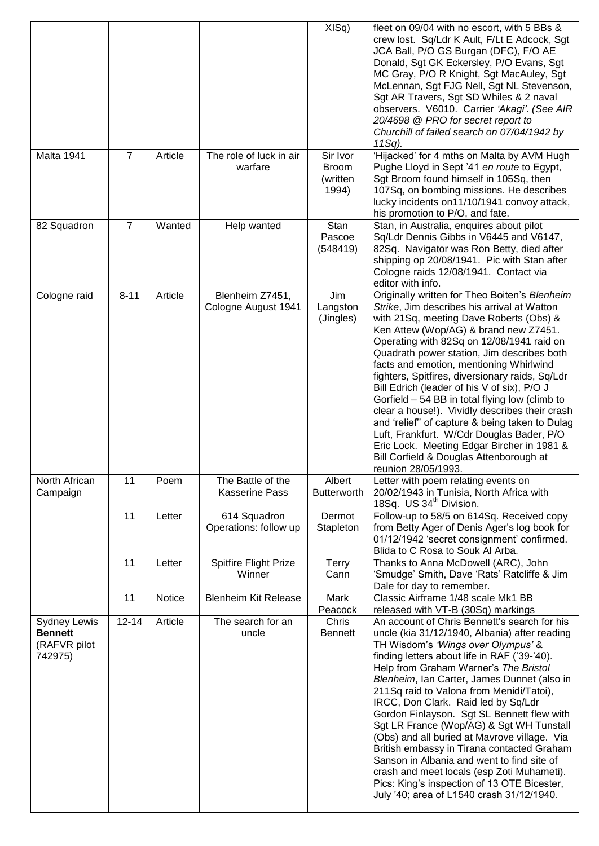|                                                                  |                |         |                                            | XISq)                                         | fleet on 09/04 with no escort, with 5 BBs &<br>crew lost. Sq/Ldr K Ault, F/Lt E Adcock, Sgt<br>JCA Ball, P/O GS Burgan (DFC), F/O AE<br>Donald, Sgt GK Eckersley, P/O Evans, Sgt<br>MC Gray, P/O R Knight, Sgt MacAuley, Sgt<br>McLennan, Sgt FJG Nell, Sgt NL Stevenson,<br>Sgt AR Travers, Sgt SD Whiles & 2 naval<br>observers. V6010. Carrier 'Akagi'. (See AIR<br>20/4698 @ PRO for secret report to<br>Churchill of failed search on 07/04/1942 by<br>11Sq).                                                                                                                                                                                                                                                                             |
|------------------------------------------------------------------|----------------|---------|--------------------------------------------|-----------------------------------------------|------------------------------------------------------------------------------------------------------------------------------------------------------------------------------------------------------------------------------------------------------------------------------------------------------------------------------------------------------------------------------------------------------------------------------------------------------------------------------------------------------------------------------------------------------------------------------------------------------------------------------------------------------------------------------------------------------------------------------------------------|
| Malta 1941                                                       | $\overline{7}$ | Article | The role of luck in air<br>warfare         | Sir Ivor<br><b>Broom</b><br>(written<br>1994) | 'Hijacked' for 4 mths on Malta by AVM Hugh<br>Pughe Lloyd in Sept '41 en route to Egypt,<br>Sgt Broom found himself in 105Sq, then<br>107Sq, on bombing missions. He describes<br>lucky incidents on11/10/1941 convoy attack,<br>his promotion to P/O, and fate.                                                                                                                                                                                                                                                                                                                                                                                                                                                                               |
| 82 Squadron                                                      | $\overline{7}$ | Wanted  | Help wanted                                | Stan<br>Pascoe<br>(548419)                    | Stan, in Australia, enquires about pilot<br>Sq/Ldr Dennis Gibbs in V6445 and V6147,<br>82Sq. Navigator was Ron Betty, died after<br>shipping op 20/08/1941. Pic with Stan after<br>Cologne raids 12/08/1941. Contact via<br>editor with info.                                                                                                                                                                                                                                                                                                                                                                                                                                                                                                  |
| Cologne raid                                                     | $8 - 11$       | Article | Blenheim Z7451,<br>Cologne August 1941     | Jim<br>Langston<br>(Jingles)                  | Originally written for Theo Boiten's Blenheim<br>Strike, Jim describes his arrival at Watton<br>with 21Sq, meeting Dave Roberts (Obs) &<br>Ken Attew (Wop/AG) & brand new Z7451.<br>Operating with 82Sq on 12/08/1941 raid on<br>Quadrath power station, Jim describes both<br>facts and emotion, mentioning Whirlwind<br>fighters, Spitfires, diversionary raids, Sq/Ldr<br>Bill Edrich (leader of his V of six), P/O J<br>Gorfield – 54 BB in total flying low (climb to<br>clear a house!). Vividly describes their crash<br>and 'relief" of capture & being taken to Dulag<br>Luft, Frankfurt. W/Cdr Douglas Bader, P/O<br>Eric Lock. Meeting Edgar Bircher in 1981 &<br>Bill Corfield & Douglas Attenborough at<br>reunion 28/05/1993.    |
| North African<br>Campaign                                        | 11             | Poem    | The Battle of the<br><b>Kasserine Pass</b> | Albert<br><b>Butterworth</b>                  | Letter with poem relating events on<br>20/02/1943 in Tunisia, North Africa with<br>18Sq. US 34 <sup>th</sup> Division.                                                                                                                                                                                                                                                                                                                                                                                                                                                                                                                                                                                                                         |
|                                                                  | 11             | Letter  | 614 Squadron<br>Operations: follow up      | Dermot<br>Stapleton                           | Follow-up to 58/5 on 614Sq. Received copy<br>from Betty Ager of Denis Ager's log book for<br>01/12/1942 'secret consignment' confirmed.<br>Blida to C Rosa to Souk Al Arba.                                                                                                                                                                                                                                                                                                                                                                                                                                                                                                                                                                    |
|                                                                  | 11             | Letter  | <b>Spitfire Flight Prize</b><br>Winner     | <b>Terry</b><br>Cann                          | Thanks to Anna McDowell (ARC), John<br>'Smudge' Smith, Dave 'Rats' Ratcliffe & Jim<br>Dale for day to remember.                                                                                                                                                                                                                                                                                                                                                                                                                                                                                                                                                                                                                                |
|                                                                  | 11             | Notice  | <b>Blenheim Kit Release</b>                | Mark<br>Peacock                               | Classic Airframe 1/48 scale Mk1 BB<br>released with VT-B (30Sq) markings                                                                                                                                                                                                                                                                                                                                                                                                                                                                                                                                                                                                                                                                       |
| <b>Sydney Lewis</b><br><b>Bennett</b><br>(RAFVR pilot<br>742975) | $12 - 14$      | Article | The search for an<br>uncle                 | Chris<br><b>Bennett</b>                       | An account of Chris Bennett's search for his<br>uncle (kia 31/12/1940, Albania) after reading<br>TH Wisdom's 'Wings over Olympus' &<br>finding letters about life in RAF ('39-'40).<br>Help from Graham Warner's The Bristol<br>Blenheim, Ian Carter, James Dunnet (also in<br>211Sq raid to Valona from Menidi/Tatoi),<br>IRCC, Don Clark. Raid led by Sq/Ldr<br>Gordon Finlayson. Sgt SL Bennett flew with<br>Sgt LR France (Wop/AG) & Sgt WH Tunstall<br>(Obs) and all buried at Mavrove village. Via<br>British embassy in Tirana contacted Graham<br>Sanson in Albania and went to find site of<br>crash and meet locals (esp Zoti Muhameti).<br>Pics: King's inspection of 13 OTE Bicester,<br>July '40; area of L1540 crash 31/12/1940. |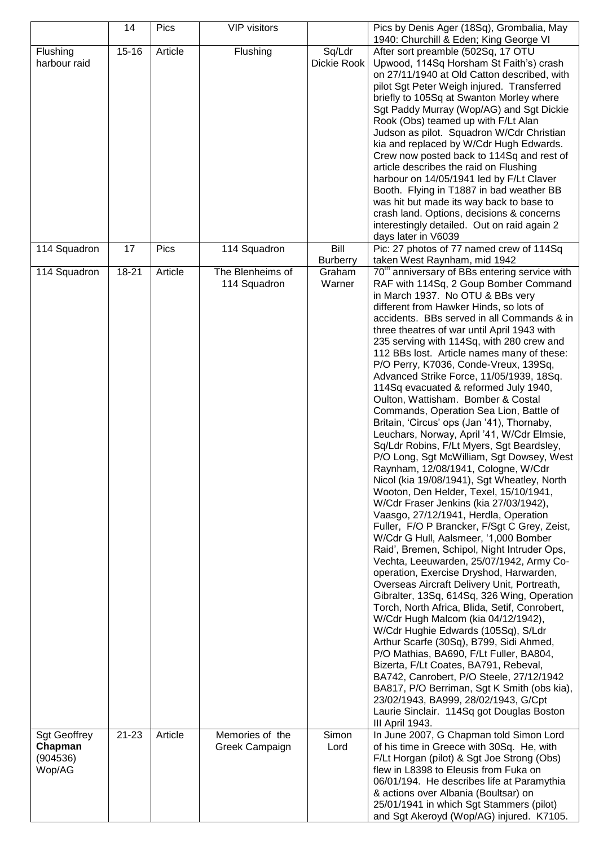|                                                      | 14                 | Pics    | <b>VIP visitors</b>               |                         | Pics by Denis Ager (18Sq), Grombalia, May<br>1940: Churchill & Eden; King George VI                                                                                                                                                                                                                                                                                                                                                                                                                                                                                                                                                                                                                                                                                                                                                                                                                                                                                                                                                                                                                                                                                                                                                                                                                                                                                                                                                                                                                                                                                                                                                                                                                                                                                                             |
|------------------------------------------------------|--------------------|---------|-----------------------------------|-------------------------|-------------------------------------------------------------------------------------------------------------------------------------------------------------------------------------------------------------------------------------------------------------------------------------------------------------------------------------------------------------------------------------------------------------------------------------------------------------------------------------------------------------------------------------------------------------------------------------------------------------------------------------------------------------------------------------------------------------------------------------------------------------------------------------------------------------------------------------------------------------------------------------------------------------------------------------------------------------------------------------------------------------------------------------------------------------------------------------------------------------------------------------------------------------------------------------------------------------------------------------------------------------------------------------------------------------------------------------------------------------------------------------------------------------------------------------------------------------------------------------------------------------------------------------------------------------------------------------------------------------------------------------------------------------------------------------------------------------------------------------------------------------------------------------------------|
| Flushing<br>harbour raid                             | $15 - 16$          | Article | Flushing                          | Sq/Ldr<br>Dickie Rook   | After sort preamble (502Sq, 17 OTU<br>Upwood, 114Sq Horsham St Faith's) crash<br>on 27/11/1940 at Old Catton described, with<br>pilot Sgt Peter Weigh injured. Transferred<br>briefly to 105Sq at Swanton Morley where<br>Sgt Paddy Murray (Wop/AG) and Sgt Dickie<br>Rook (Obs) teamed up with F/Lt Alan<br>Judson as pilot. Squadron W/Cdr Christian<br>kia and replaced by W/Cdr Hugh Edwards.<br>Crew now posted back to 114Sq and rest of<br>article describes the raid on Flushing<br>harbour on 14/05/1941 led by F/Lt Claver<br>Booth. Flying in T1887 in bad weather BB<br>was hit but made its way back to base to<br>crash land. Options, decisions & concerns<br>interestingly detailed. Out on raid again 2<br>days later in V6039                                                                                                                                                                                                                                                                                                                                                                                                                                                                                                                                                                                                                                                                                                                                                                                                                                                                                                                                                                                                                                                 |
| 114 Squadron                                         | 17                 | Pics    | 114 Squadron                      | Bill<br><b>Burberry</b> | Pic: 27 photos of 77 named crew of 114Sq<br>taken West Raynham, mid 1942                                                                                                                                                                                                                                                                                                                                                                                                                                                                                                                                                                                                                                                                                                                                                                                                                                                                                                                                                                                                                                                                                                                                                                                                                                                                                                                                                                                                                                                                                                                                                                                                                                                                                                                        |
| 114 Squadron                                         | 18-21<br>$21 - 23$ | Article | The Blenheims of<br>114 Squadron  | Graham<br>Warner        | 70 <sup>th</sup> anniversary of BBs entering service with<br>RAF with 114Sq, 2 Goup Bomber Command<br>in March 1937. No OTU & BBs very<br>different from Hawker Hinds, so lots of<br>accidents. BBs served in all Commands & in<br>three theatres of war until April 1943 with<br>235 serving with 114Sq, with 280 crew and<br>112 BBs lost. Article names many of these:<br>P/O Perry, K7036, Conde-Vreux, 139Sq,<br>Advanced Strike Force, 11/05/1939, 18Sq.<br>114Sq evacuated & reformed July 1940,<br>Oulton, Wattisham. Bomber & Costal<br>Commands, Operation Sea Lion, Battle of<br>Britain, 'Circus' ops (Jan '41), Thornaby,<br>Leuchars, Norway, April '41, W/Cdr Elmsie,<br>Sq/Ldr Robins, F/Lt Myers, Sgt Beardsley,<br>P/O Long, Sgt McWilliam, Sgt Dowsey, West<br>Raynham, 12/08/1941, Cologne, W/Cdr<br>Nicol (kia 19/08/1941), Sgt Wheatley, North<br>Wooton, Den Helder, Texel, 15/10/1941,<br>W/Cdr Fraser Jenkins (kia 27/03/1942),<br>Vaasgo, 27/12/1941, Herdla, Operation<br>Fuller, F/O P Brancker, F/Sgt C Grey, Zeist,<br>W/Cdr G Hull, Aalsmeer, '1,000 Bomber<br>Raid', Bremen, Schipol, Night Intruder Ops,<br>Vechta, Leeuwarden, 25/07/1942, Army Co-<br>operation, Exercise Dryshod, Harwarden,<br>Overseas Aircraft Delivery Unit, Portreath,<br>Gibralter, 13Sq, 614Sq, 326 Wing, Operation<br>Torch, North Africa, Blida, Setif, Conrobert,<br>W/Cdr Hugh Malcom (kia 04/12/1942),<br>W/Cdr Hughie Edwards (105Sq), S/Ldr<br>Arthur Scarfe (30Sq), B799, Sidi Ahmed,<br>P/O Mathias, BA690, F/Lt Fuller, BA804,<br>Bizerta, F/Lt Coates, BA791, Rebeval,<br>BA742, Canrobert, P/O Steele, 27/12/1942<br>BA817, P/O Berriman, Sgt K Smith (obs kia),<br>23/02/1943, BA999, 28/02/1943, G/Cpt<br>Laurie Sinclair. 114Sq got Douglas Boston<br>III April 1943. |
| <b>Sgt Geoffrey</b><br>Chapman<br>(904536)<br>Wop/AG |                    | Article | Memories of the<br>Greek Campaign | Simon<br>Lord           | In June 2007, G Chapman told Simon Lord<br>of his time in Greece with 30Sq. He, with<br>F/Lt Horgan (pilot) & Sgt Joe Strong (Obs)<br>flew in L8398 to Eleusis from Fuka on<br>06/01/194. He describes life at Paramythia<br>& actions over Albania (Boultsar) on<br>25/01/1941 in which Sgt Stammers (pilot)<br>and Sgt Akeroyd (Wop/AG) injured. K7105.                                                                                                                                                                                                                                                                                                                                                                                                                                                                                                                                                                                                                                                                                                                                                                                                                                                                                                                                                                                                                                                                                                                                                                                                                                                                                                                                                                                                                                       |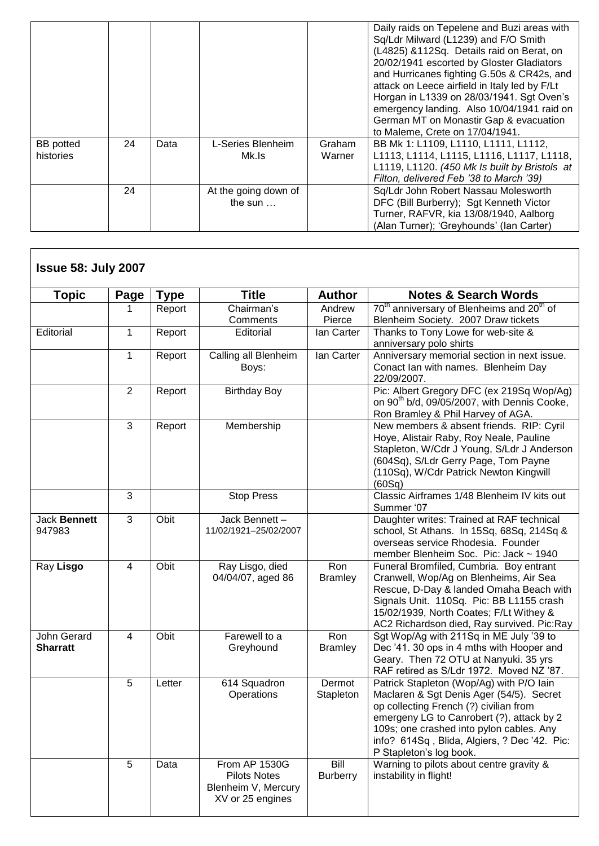|                  |    |      |                      |        | Daily raids on Tepelene and Buzi areas with<br>Sq/Ldr Milward (L1239) and F/O Smith |
|------------------|----|------|----------------------|--------|-------------------------------------------------------------------------------------|
|                  |    |      |                      |        | (L4825) &112Sq. Details raid on Berat, on                                           |
|                  |    |      |                      |        | 20/02/1941 escorted by Gloster Gladiators                                           |
|                  |    |      |                      |        | and Hurricanes fighting G.50s & CR42s, and                                          |
|                  |    |      |                      |        | attack on Leece airfield in Italy led by F/Lt                                       |
|                  |    |      |                      |        | Horgan in L1339 on 28/03/1941. Sgt Oven's                                           |
|                  |    |      |                      |        | emergency landing. Also 10/04/1941 raid on                                          |
|                  |    |      |                      |        | German MT on Monastir Gap & evacuation                                              |
|                  |    |      |                      |        | to Maleme, Crete on 17/04/1941.                                                     |
| <b>BB</b> potted | 24 | Data | L-Series Blenheim    | Graham | BB Mk 1: L1109, L1110, L1111, L1112,                                                |
| histories        |    |      | Mk.ls                | Warner | L1113, L1114, L1115, L1116, L1117, L1118,                                           |
|                  |    |      |                      |        | L1119, L1120. (450 Mk Is built by Bristols at                                       |
|                  |    |      |                      |        | Filton, delivered Feb '38 to March '39)                                             |
|                  | 24 |      | At the going down of |        | Sq/Ldr John Robert Nassau Molesworth                                                |
|                  |    |      | the sun $\dots$      |        | DFC (Bill Burberry); Sgt Kenneth Victor                                             |
|                  |    |      |                      |        | Turner, RAFVR, kia 13/08/1940, Aalborg                                              |
|                  |    |      |                      |        | (Alan Turner); 'Greyhounds' (Ian Carter)                                            |

| <b>Topic</b>                   | <b>Page</b>    | <b>Type</b> | <b>Title</b>                                                                           | <b>Author</b>           | <b>Notes &amp; Search Words</b>                                                                                                                                                                                                                                                                    |
|--------------------------------|----------------|-------------|----------------------------------------------------------------------------------------|-------------------------|----------------------------------------------------------------------------------------------------------------------------------------------------------------------------------------------------------------------------------------------------------------------------------------------------|
|                                | 1              | Report      | Chairman's                                                                             | Andrew                  | 70 <sup>th</sup> anniversary of Blenheims and 20 <sup>th</sup> of                                                                                                                                                                                                                                  |
|                                |                |             | Comments                                                                               | Pierce                  | Blenheim Society. 2007 Draw tickets                                                                                                                                                                                                                                                                |
| Editorial                      | $\mathbf{1}$   | Report      | Editorial                                                                              | lan Carter              | Thanks to Tony Lowe for web-site &<br>anniversary polo shirts                                                                                                                                                                                                                                      |
|                                | 1              | Report      | Calling all Blenheim<br>Boys:                                                          | lan Carter              | Anniversary memorial section in next issue.<br>Conact Ian with names. Blenheim Day<br>22/09/2007.                                                                                                                                                                                                  |
|                                | $\overline{2}$ | Report      | <b>Birthday Boy</b>                                                                    |                         | Pic: Albert Gregory DFC (ex 219Sq Wop/Ag)<br>on 90 <sup>th</sup> b/d, 09/05/2007, with Dennis Cooke,<br>Ron Bramley & Phil Harvey of AGA.                                                                                                                                                          |
|                                | $\overline{3}$ | Report      | Membership                                                                             |                         | New members & absent friends. RIP: Cyril<br>Hoye, Alistair Raby, Roy Neale, Pauline<br>Stapleton, W/Cdr J Young, S/Ldr J Anderson<br>(604Sq), S/Ldr Gerry Page, Tom Payne<br>(110Sq), W/Cdr Patrick Newton Kingwill<br>(60Sq)                                                                      |
|                                | 3              |             | <b>Stop Press</b>                                                                      |                         | Classic Airframes 1/48 Blenheim IV kits out<br>Summer '07                                                                                                                                                                                                                                          |
| Jack Bennett<br>947983         | 3              | Obit        | Jack Bennett-<br>11/02/1921-25/02/2007                                                 |                         | Daughter writes: Trained at RAF technical<br>school, St Athans. In 15Sq, 68Sq, 214Sq &<br>overseas service Rhodesia. Founder<br>member Blenheim Soc. Pic: Jack ~ 1940                                                                                                                              |
| Ray Lisgo                      | 4              | Obit        | Ray Lisgo, died<br>04/04/07, aged 86                                                   | Ron<br><b>Bramley</b>   | Funeral Bromfiled, Cumbria. Boy entrant<br>Cranwell, Wop/Ag on Blenheims, Air Sea<br>Rescue, D-Day & landed Omaha Beach with<br>Signals Unit. 110Sq. Pic: BB L1155 crash<br>15/02/1939, North Coates; F/Lt Withey &<br>AC2 Richardson died, Ray survived. Pic:Ray                                  |
| John Gerard<br><b>Sharratt</b> | $\overline{4}$ | Obit        | Farewell to a<br>Greyhound                                                             | Ron<br><b>Bramley</b>   | Sgt Wop/Ag with 211Sq in ME July '39 to<br>Dec '41. 30 ops in 4 mths with Hooper and<br>Geary. Then 72 OTU at Nanyuki. 35 yrs<br>RAF retired as S/Ldr 1972. Moved NZ '87.                                                                                                                          |
|                                | 5              | Letter      | 614 Squadron<br>Operations                                                             | Dermot<br>Stapleton     | Patrick Stapleton (Wop/Ag) with P/O lain<br>Maclaren & Sgt Denis Ager (54/5). Secret<br>op collecting French (?) civilian from<br>emergeny LG to Canrobert (?), attack by 2<br>109s; one crashed into pylon cables. Any<br>info? 614Sq, Blida, Algiers, ? Dec '42. Pic:<br>P Stapleton's log book. |
|                                | 5              | Data        | <b>From AP 1530G</b><br><b>Pilots Notes</b><br>Blenheim V, Mercury<br>XV or 25 engines | Bill<br><b>Burberry</b> | Warning to pilots about centre gravity &<br>instability in flight!                                                                                                                                                                                                                                 |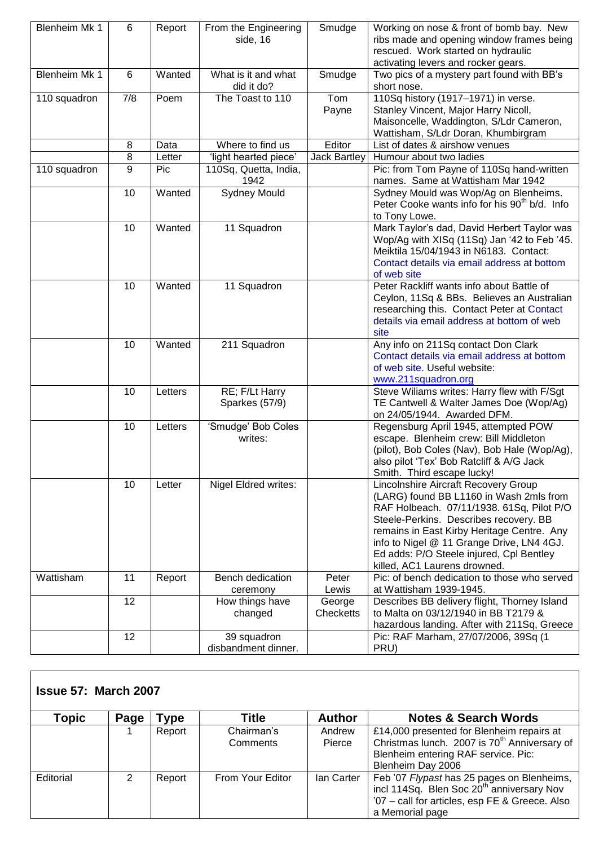| Blenheim Mk 1 | 6   | Report  | From the Engineering<br>side, 16   | Smudge              | Working on nose & front of bomb bay. New<br>ribs made and opening window frames being<br>rescued. Work started on hydraulic<br>activating levers and rocker gears.                                                                                                                                                                            |
|---------------|-----|---------|------------------------------------|---------------------|-----------------------------------------------------------------------------------------------------------------------------------------------------------------------------------------------------------------------------------------------------------------------------------------------------------------------------------------------|
| Blenheim Mk 1 | 6   | Wanted  | What is it and what<br>did it do?  | Smudge              | Two pics of a mystery part found with BB's<br>short nose.                                                                                                                                                                                                                                                                                     |
| 110 squadron  | 7/8 | Poem    | The Toast to 110                   | Tom<br>Payne        | 110Sq history (1917-1971) in verse.<br>Stanley Vincent, Major Harry Nicoll,<br>Maisoncelle, Waddington, S/Ldr Cameron,<br>Wattisham, S/Ldr Doran, Khumbirgram                                                                                                                                                                                 |
|               | 8   | Data    | Where to find us                   | Editor              | List of dates & airshow venues                                                                                                                                                                                                                                                                                                                |
|               | 8   | Letter  | 'light hearted piece'              | <b>Jack Bartley</b> | Humour about two ladies                                                                                                                                                                                                                                                                                                                       |
| 110 squadron  | 9   | Pic     | 110Sq, Quetta, India,<br>1942      |                     | Pic: from Tom Payne of 110Sq hand-written<br>names. Same at Wattisham Mar 1942                                                                                                                                                                                                                                                                |
|               | 10  | Wanted  | <b>Sydney Mould</b>                |                     | Sydney Mould was Wop/Ag on Blenheims.<br>Peter Cooke wants info for his 90 <sup>th</sup> b/d. Info<br>to Tony Lowe.                                                                                                                                                                                                                           |
|               | 10  | Wanted  | 11 Squadron                        |                     | Mark Taylor's dad, David Herbert Taylor was<br>Wop/Ag with XISq (11Sq) Jan '42 to Feb '45.<br>Meiktila 15/04/1943 in N6183. Contact:<br>Contact details via email address at bottom<br>of web site                                                                                                                                            |
|               | 10  | Wanted  | 11 Squadron                        |                     | Peter Rackliff wants info about Battle of<br>Ceylon, 11Sq & BBs. Believes an Australian<br>researching this. Contact Peter at Contact<br>details via email address at bottom of web<br>site                                                                                                                                                   |
|               | 10  | Wanted  | 211 Squadron                       |                     | Any info on 211Sq contact Don Clark<br>Contact details via email address at bottom<br>of web site. Useful website:<br>www.211squadron.org                                                                                                                                                                                                     |
|               | 10  | Letters | RE; F/Lt Harry<br>Sparkes (57/9)   |                     | Steve Wiliams writes: Harry flew with F/Sgt<br>TE Cantwell & Walter James Doe (Wop/Ag)<br>on 24/05/1944. Awarded DFM.                                                                                                                                                                                                                         |
|               | 10  | Letters | 'Smudge' Bob Coles<br>writes:      |                     | Regensburg April 1945, attempted POW<br>escape. Blenheim crew: Bill Middleton<br>(pilot), Bob Coles (Nav), Bob Hale (Wop/Ag),<br>also pilot 'Tex' Bob Ratcliff & A/G Jack<br>Smith. Third escape lucky!                                                                                                                                       |
|               | 10  | Letter  | Nigel Eldred writes:               |                     | Lincolnshire Aircraft Recovery Group<br>(LARG) found BB L1160 in Wash 2mls from<br>RAF Holbeach. 07/11/1938. 61Sq, Pilot P/O<br>Steele-Perkins. Describes recovery. BB<br>remains in East Kirby Heritage Centre. Any<br>info to Nigel @ 11 Grange Drive, LN4 4GJ.<br>Ed adds: P/O Steele injured, Cpl Bentley<br>killed, AC1 Laurens drowned. |
| Wattisham     | 11  | Report  | Bench dedication<br>ceremony       | Peter<br>Lewis      | Pic: of bench dedication to those who served<br>at Wattisham 1939-1945.                                                                                                                                                                                                                                                                       |
|               | 12  |         | How things have<br>changed         | George<br>Checketts | Describes BB delivery flight, Thorney Island<br>to Malta on 03/12/1940 in BB T2179 &<br>hazardous landing. After with 211Sq, Greece                                                                                                                                                                                                           |
|               | 12  |         | 39 squadron<br>disbandment dinner. |                     | Pic: RAF Marham, 27/07/2006, 39Sq (1<br>PRU)                                                                                                                                                                                                                                                                                                  |

## **Issue 57: March 2007**

| Горіс     | Page | <b>Type</b> | Title            | <b>Author</b> | <b>Notes &amp; Search Words</b>                          |
|-----------|------|-------------|------------------|---------------|----------------------------------------------------------|
|           |      | Report      | Chairman's       | Andrew        | £14,000 presented for Blenheim repairs at                |
|           |      |             | Comments         | Pierce        | Christmas lunch. 2007 is 70 <sup>th</sup> Anniversary of |
|           |      |             |                  |               | Blenheim entering RAF service. Pic:                      |
|           |      |             |                  |               | Blenheim Day 2006                                        |
| Editorial |      | Report      | From Your Editor | lan Carter    | Feb '07 Flypast has 25 pages on Blenheims,               |
|           |      |             |                  |               | incl 114Sq. Blen Soc 20 <sup>th</sup> anniversary Nov    |
|           |      |             |                  |               | '07 - call for articles, esp FE & Greece. Also           |
|           |      |             |                  |               | a Memorial page                                          |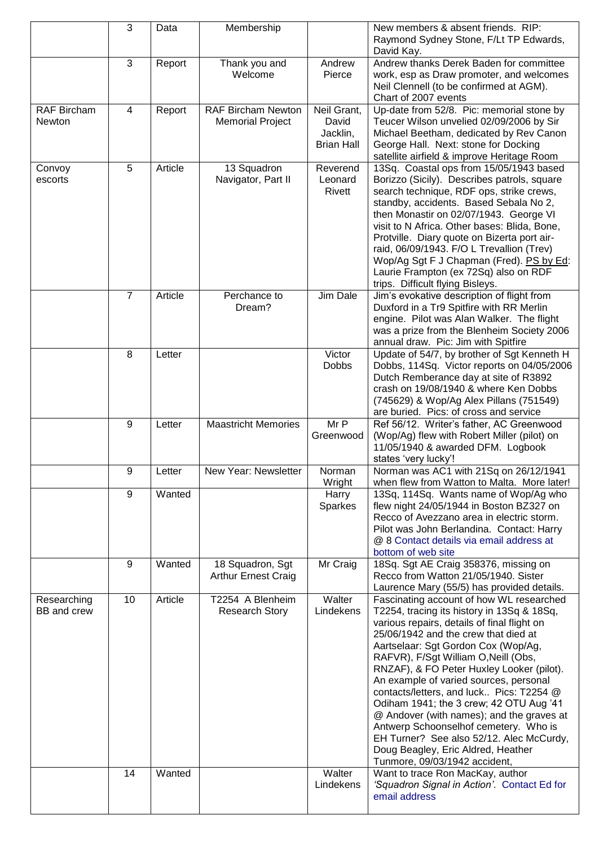|                              | 3              | Data    | Membership                                           |                                                       | New members & absent friends. RIP:<br>Raymond Sydney Stone, F/Lt TP Edwards,<br>David Kay.                                                                                                                                                                                                                                                                                                                                                                                                                                                                                                                                                          |
|------------------------------|----------------|---------|------------------------------------------------------|-------------------------------------------------------|-----------------------------------------------------------------------------------------------------------------------------------------------------------------------------------------------------------------------------------------------------------------------------------------------------------------------------------------------------------------------------------------------------------------------------------------------------------------------------------------------------------------------------------------------------------------------------------------------------------------------------------------------------|
|                              | 3              | Report  | Thank you and<br>Welcome                             | Andrew<br>Pierce                                      | Andrew thanks Derek Baden for committee<br>work, esp as Draw promoter, and welcomes<br>Neil Clennell (to be confirmed at AGM).<br>Chart of 2007 events                                                                                                                                                                                                                                                                                                                                                                                                                                                                                              |
| <b>RAF Bircham</b><br>Newton | 4              | Report  | <b>RAF Bircham Newton</b><br><b>Memorial Project</b> | Neil Grant,<br>David<br>Jacklin,<br><b>Brian Hall</b> | Up-date from 52/8. Pic: memorial stone by<br>Teucer Wilson unvelied 02/09/2006 by Sir<br>Michael Beetham, dedicated by Rev Canon<br>George Hall. Next: stone for Docking<br>satellite airfield & improve Heritage Room                                                                                                                                                                                                                                                                                                                                                                                                                              |
| Convoy<br>escorts            | 5              | Article | 13 Squadron<br>Navigator, Part II                    | Reverend<br>Leonard<br>Rivett                         | 13Sq. Coastal ops from 15/05/1943 based<br>Borizzo (Sicily). Describes patrols, square<br>search technique, RDF ops, strike crews,<br>standby, accidents. Based Sebala No 2,<br>then Monastir on 02/07/1943. George VI<br>visit to N Africa. Other bases: Blida, Bone,<br>Protville. Diary quote on Bizerta port air-<br>raid, 06/09/1943. F/O L Trevallion (Trev)<br>Wop/Ag Sgt F J Chapman (Fred). PS by Ed:<br>Laurie Frampton (ex 72Sq) also on RDF<br>trips. Difficult flying Bisleys.                                                                                                                                                         |
|                              | $\overline{7}$ | Article | Perchance to<br>Dream?                               | Jim Dale                                              | Jim's evokative description of flight from<br>Duxford in a Tr9 Spitfire with RR Merlin<br>engine. Pilot was Alan Walker. The flight<br>was a prize from the Blenheim Society 2006<br>annual draw. Pic: Jim with Spitfire                                                                                                                                                                                                                                                                                                                                                                                                                            |
|                              | 8              | Letter  |                                                      | Victor<br><b>Dobbs</b>                                | Update of 54/7, by brother of Sgt Kenneth H<br>Dobbs, 114Sq. Victor reports on 04/05/2006<br>Dutch Remberance day at site of R3892<br>crash on 19/08/1940 & where Ken Dobbs<br>(745629) & Wop/Ag Alex Pillans (751549)<br>are buried. Pics: of cross and service                                                                                                                                                                                                                                                                                                                                                                                    |
|                              | 9              | Letter  | <b>Maastricht Memories</b>                           | Mr P<br>Greenwood                                     | Ref 56/12. Writer's father, AC Greenwood<br>(Wop/Ag) flew with Robert Miller (pilot) on<br>11/05/1940 & awarded DFM. Logbook<br>states 'very lucky'!                                                                                                                                                                                                                                                                                                                                                                                                                                                                                                |
|                              | 9              | Letter  | New Year: Newsletter                                 | Norman<br>Wright                                      | Norman was AC1 with 21Sq on 26/12/1941<br>when flew from Watton to Malta. More later!                                                                                                                                                                                                                                                                                                                                                                                                                                                                                                                                                               |
|                              | 9              | Wanted  |                                                      | Harry<br>Sparkes                                      | 13Sq, 114Sq. Wants name of Wop/Ag who<br>flew night 24/05/1944 in Boston BZ327 on<br>Recco of Avezzano area in electric storm.<br>Pilot was John Berlandina. Contact: Harry<br>@ 8 Contact details via email address at<br>bottom of web site                                                                                                                                                                                                                                                                                                                                                                                                       |
|                              | 9              | Wanted  | 18 Squadron, Sgt<br><b>Arthur Ernest Craig</b>       | Mr Craig                                              | 18Sq. Sgt AE Craig 358376, missing on<br>Recco from Watton 21/05/1940. Sister<br>Laurence Mary (55/5) has provided details.                                                                                                                                                                                                                                                                                                                                                                                                                                                                                                                         |
| Researching<br>BB and crew   | 10             | Article | T2254 A Blenheim<br><b>Research Story</b>            | Walter<br>Lindekens                                   | Fascinating account of how WL researched<br>T2254, tracing its history in 13Sq & 18Sq,<br>various repairs, details of final flight on<br>25/06/1942 and the crew that died at<br>Aartselaar: Sgt Gordon Cox (Wop/Ag,<br>RAFVR), F/Sgt William O, Neill (Obs,<br>RNZAF), & FO Peter Huxley Looker (pilot).<br>An example of varied sources, personal<br>contacts/letters, and luck Pics: T2254 @<br>Odiham 1941; the 3 crew; 42 OTU Aug '41<br>@ Andover (with names); and the graves at<br>Antwerp Schoonselhof cemetery. Who is<br>EH Turner? See also 52/12. Alec McCurdy,<br>Doug Beagley, Eric Aldred, Heather<br>Tunmore, 09/03/1942 accident, |
|                              | 14             | Wanted  |                                                      | Walter<br>Lindekens                                   | Want to trace Ron MacKay, author<br>'Squadron Signal in Action'. Contact Ed for<br>email address                                                                                                                                                                                                                                                                                                                                                                                                                                                                                                                                                    |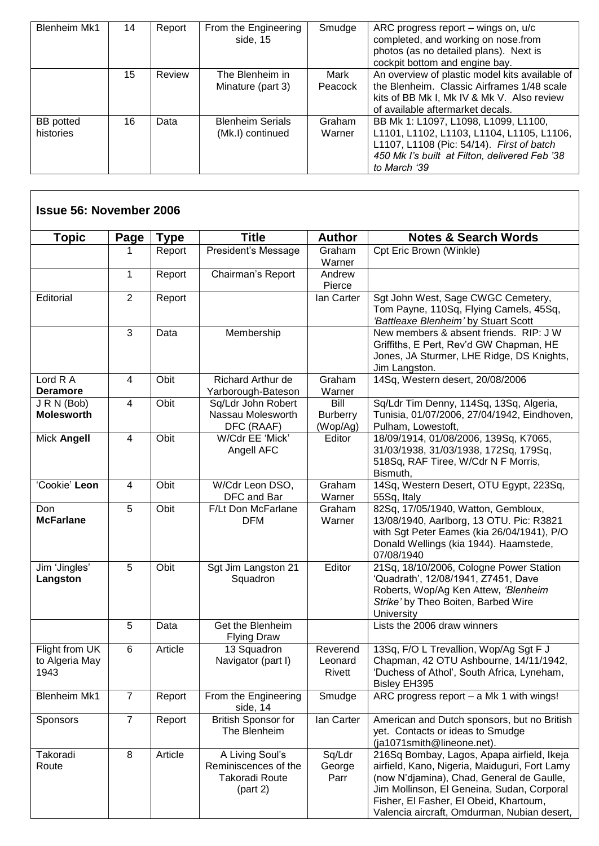| <b>Blenheim Mk1</b>           | 14 | Report | From the Engineering<br>side, 15            | Smudge           | ARC progress report – wings on, u/c<br>completed, and working on nose.from<br>photos (as no detailed plans). Next is<br>cockpit bottom and engine bay.                                          |
|-------------------------------|----|--------|---------------------------------------------|------------------|-------------------------------------------------------------------------------------------------------------------------------------------------------------------------------------------------|
|                               | 15 | Review | The Blenheim in<br>Minature (part 3)        | Mark<br>Peacock  | An overview of plastic model kits available of<br>the Blenheim. Classic Airframes 1/48 scale<br>kits of BB Mk I, Mk IV & Mk V. Also review<br>of available aftermarket decals.                  |
| <b>BB</b> potted<br>histories | 16 | Data   | <b>Blenheim Serials</b><br>(Mk.I) continued | Graham<br>Warner | BB Mk 1: L1097, L1098, L1099, L1100,<br>L1101, L1102, L1103, L1104, L1105, L1106,<br>L1107, L1108 (Pic: 54/14). First of batch<br>450 Mk I's built at Filton, delivered Feb '38<br>to March '39 |

| <b>Topic</b>                                    | <b>Page</b>    | <b>Type</b> | <b>Title</b>                                                                 | <b>Author</b>                       | <b>Notes &amp; Search Words</b>                                                                                                                                                                                                                                                 |
|-------------------------------------------------|----------------|-------------|------------------------------------------------------------------------------|-------------------------------------|---------------------------------------------------------------------------------------------------------------------------------------------------------------------------------------------------------------------------------------------------------------------------------|
|                                                 | 1              | Report      | President's Message                                                          | Graham<br>Warner                    | Cpt Eric Brown (Winkle)                                                                                                                                                                                                                                                         |
|                                                 | 1              | Report      | Chairman's Report                                                            | Andrew<br>Pierce                    |                                                                                                                                                                                                                                                                                 |
| Editorial                                       | 2              | Report      |                                                                              | lan Carter                          | Sgt John West, Sage CWGC Cemetery,<br>Tom Payne, 110Sq, Flying Camels, 45Sq,<br>'Battleaxe Blenheim' by Stuart Scott                                                                                                                                                            |
|                                                 | $\overline{3}$ | Data        | Membership                                                                   |                                     | New members & absent friends. RIP: J W<br>Griffiths, E Pert, Rev'd GW Chapman, HE<br>Jones, JA Sturmer, LHE Ridge, DS Knights,<br>Jim Langston.                                                                                                                                 |
| Lord R A<br><b>Deramore</b>                     | 4              | Obit        | Richard Arthur de<br>Yarborough-Bateson                                      | Graham<br>Warner                    | 14Sq, Western desert, 20/08/2006                                                                                                                                                                                                                                                |
| J R N (Bob)<br><b>Molesworth</b>                | $\overline{4}$ | Obit        | Sq/Ldr John Robert<br>Nassau Molesworth<br>DFC (RAAF)                        | Bill<br><b>Burberry</b><br>(Wop/Ag) | Sq/Ldr Tim Denny, 114Sq, 13Sq, Algeria,<br>Tunisia, 01/07/2006, 27/04/1942, Eindhoven,<br>Pulham, Lowestoft,                                                                                                                                                                    |
| Mick Angell                                     | 4              | Obit        | W/Cdr EE 'Mick'<br>Angell AFC                                                | Editor                              | 18/09/1914, 01/08/2006, 139Sq, K7065,<br>31/03/1938, 31/03/1938, 172Sq, 179Sq,<br>518Sq, RAF Tiree, W/Cdr N F Morris,<br>Bismuth,                                                                                                                                               |
| 'Cookie' Leon                                   | 4              | Obit        | W/Cdr Leon DSO,<br>DFC and Bar                                               | Graham<br>Warner                    | 14Sq, Western Desert, OTU Egypt, 223Sq,<br>55Sq, Italy                                                                                                                                                                                                                          |
| Don<br><b>McFarlane</b>                         | 5              | Obit        | F/Lt Don McFarlane<br><b>DFM</b>                                             | Graham<br>Warner                    | 82Sq, 17/05/1940, Watton, Gembloux,<br>13/08/1940, Aarlborg, 13 OTU. Pic: R3821<br>with Sgt Peter Eames (kia 26/04/1941), P/O<br>Donald Wellings (kia 1944). Haamstede,<br>07/08/1940                                                                                           |
| Jim 'Jingles'<br>Langston                       | 5              | Obit        | Sgt Jim Langston 21<br>Squadron                                              | Editor                              | 21Sq, 18/10/2006, Cologne Power Station<br>'Quadrath', 12/08/1941, Z7451, Dave<br>Roberts, Wop/Ag Ken Attew, 'Blenheim<br>Strike' by Theo Boiten, Barbed Wire<br>University                                                                                                     |
|                                                 | 5              | Data        | Get the Blenheim<br><b>Flying Draw</b>                                       |                                     | Lists the 2006 draw winners                                                                                                                                                                                                                                                     |
| <b>Flight from UK</b><br>to Algeria May<br>1943 | 6              | Article     | 13 Squadron<br>Navigator (part I)                                            | Reverend<br>Leonard<br>Rivett       | 13Sq, F/O L Trevallion, Wop/Ag Sgt F J<br>Chapman, 42 OTU Ashbourne, 14/11/1942,<br>'Duchess of Athol', South Africa, Lyneham,<br><b>Bisley EH395</b>                                                                                                                           |
| <b>Blenheim Mk1</b>                             | $\overline{7}$ | Report      | From the Engineering<br>side, 14                                             | Smudge                              | ARC progress report - a Mk 1 with wings!                                                                                                                                                                                                                                        |
| Sponsors                                        | $\overline{7}$ | Report      | <b>British Sponsor for</b><br>The Blenheim                                   | lan Carter                          | American and Dutch sponsors, but no British<br>yet. Contacts or ideas to Smudge<br>(ja1071smith@lineone.net).                                                                                                                                                                   |
| Takoradi<br>Route                               | 8              | Article     | A Living Soul's<br>Reminiscences of the<br><b>Takoradi Route</b><br>(part 2) | Sq/Ldr<br>George<br>Parr            | 216Sq Bombay, Lagos, Apapa airfield, Ikeja<br>airfield, Kano, Nigeria, Maiduguri, Fort Lamy<br>(now N'djamina), Chad, General de Gaulle,<br>Jim Mollinson, El Geneina, Sudan, Corporal<br>Fisher, El Fasher, El Obeid, Khartoum,<br>Valencia aircraft, Omdurman, Nubian desert, |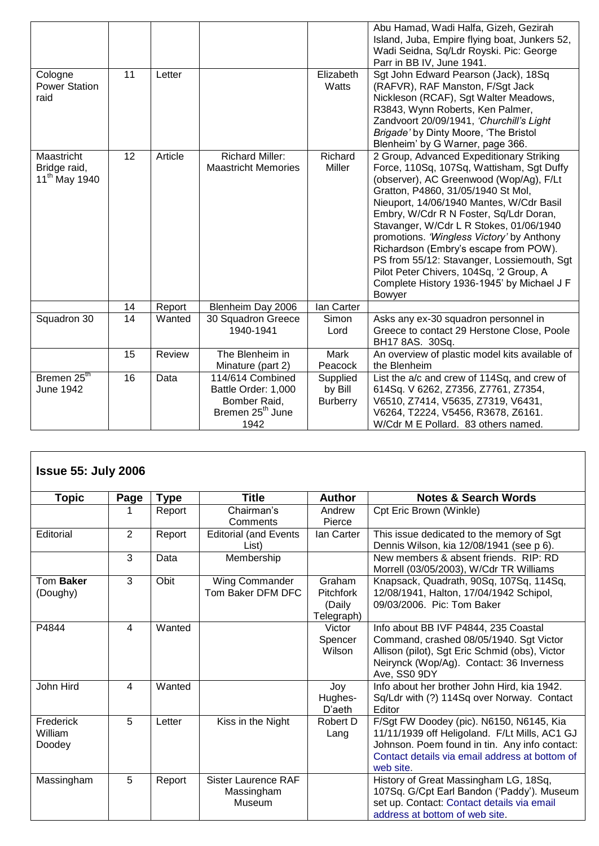|                                                                |    |         |                                                      |                    | Abu Hamad, Wadi Halfa, Gizeh, Gezirah<br>Island, Juba, Empire flying boat, Junkers 52,<br>Wadi Seidna, Sq/Ldr Royski. Pic: George                                                                                                                                                                                                                                                                                                                                                                                                                     |
|----------------------------------------------------------------|----|---------|------------------------------------------------------|--------------------|-------------------------------------------------------------------------------------------------------------------------------------------------------------------------------------------------------------------------------------------------------------------------------------------------------------------------------------------------------------------------------------------------------------------------------------------------------------------------------------------------------------------------------------------------------|
|                                                                |    |         |                                                      |                    | Parr in BB IV, June 1941.                                                                                                                                                                                                                                                                                                                                                                                                                                                                                                                             |
| Cologne<br><b>Power Station</b><br>raid                        | 11 | Letter  |                                                      | Elizabeth<br>Watts | Sgt John Edward Pearson (Jack), 18Sq<br>(RAFVR), RAF Manston, F/Sgt Jack<br>Nickleson (RCAF), Sgt Walter Meadows,<br>R3843, Wynn Roberts, Ken Palmer,<br>Zandvoort 20/09/1941, 'Churchill's Light<br>Brigade' by Dinty Moore, 'The Bristol<br>Blenheim' by G Warner, page 366.                                                                                                                                                                                                                                                                        |
| <b>Maastricht</b><br>Bridge raid,<br>11 <sup>th</sup> May 1940 | 12 | Article | <b>Richard Miller:</b><br><b>Maastricht Memories</b> | Richard<br>Miller  | 2 Group, Advanced Expeditionary Striking<br>Force, 110Sq, 107Sq, Wattisham, Sgt Duffy<br>(observer), AC Greenwood (Wop/Ag), F/Lt<br>Gratton, P4860, 31/05/1940 St Mol,<br>Nieuport, 14/06/1940 Mantes, W/Cdr Basil<br>Embry, W/Cdr R N Foster, Sq/Ldr Doran,<br>Stavanger, W/Cdr L R Stokes, 01/06/1940<br>promotions. 'Wingless Victory' by Anthony<br>Richardson (Embry's escape from POW).<br>PS from 55/12: Stavanger, Lossiemouth, Sgt<br>Pilot Peter Chivers, 104Sq, '2 Group, A<br>Complete History 1936-1945' by Michael J F<br><b>Bowyer</b> |
|                                                                | 14 | Report  | Blenheim Day 2006                                    | lan Carter         |                                                                                                                                                                                                                                                                                                                                                                                                                                                                                                                                                       |
| Squadron 30                                                    | 14 | Wanted  | 30 Squadron Greece<br>1940-1941                      | Simon<br>Lord      | Asks any ex-30 squadron personnel in<br>Greece to contact 29 Herstone Close, Poole<br>BH17 8AS. 30Sq.                                                                                                                                                                                                                                                                                                                                                                                                                                                 |
|                                                                | 15 | Review  | The Blenheim in                                      | Mark               | An overview of plastic model kits available of                                                                                                                                                                                                                                                                                                                                                                                                                                                                                                        |
|                                                                |    |         | Minature (part 2)                                    | Peacock            | the Blenheim                                                                                                                                                                                                                                                                                                                                                                                                                                                                                                                                          |
| Bremen 25th                                                    | 16 | Data    | 114/614 Combined                                     | Supplied           | List the a/c and crew of 114Sq, and crew of                                                                                                                                                                                                                                                                                                                                                                                                                                                                                                           |
| June 1942                                                      |    |         | Battle Order: 1,000                                  | by Bill            | 614Sq. V 6262, Z7356, Z7761, Z7354,                                                                                                                                                                                                                                                                                                                                                                                                                                                                                                                   |
|                                                                |    |         | Bomber Raid,                                         | <b>Burberry</b>    | V6510, Z7414, V5635, Z7319, V6431,                                                                                                                                                                                                                                                                                                                                                                                                                                                                                                                    |
|                                                                |    |         | Bremen 25 <sup>th</sup> June                         |                    | V6264, T2224, V5456, R3678, Z6161.                                                                                                                                                                                                                                                                                                                                                                                                                                                                                                                    |
|                                                                |    |         | 1942                                                 |                    | W/Cdr M E Pollard. 83 others named.                                                                                                                                                                                                                                                                                                                                                                                                                                                                                                                   |

| <b>Issue 55: July 2006</b><br><b>Topic</b> | Page                     | <b>Type</b> | <b>Title</b>                                       | <b>Author</b>                                      | <b>Notes &amp; Search Words</b>                                                                                                                                                                           |
|--------------------------------------------|--------------------------|-------------|----------------------------------------------------|----------------------------------------------------|-----------------------------------------------------------------------------------------------------------------------------------------------------------------------------------------------------------|
|                                            |                          | Report      | Chairman's<br>Comments                             | Andrew<br>Pierce                                   | Cpt Eric Brown (Winkle)                                                                                                                                                                                   |
| Editorial                                  | 2                        | Report      | <b>Editorial (and Events</b><br>List)              | lan Carter                                         | This issue dedicated to the memory of Sgt<br>Dennis Wilson, kia 12/08/1941 (see p 6).                                                                                                                     |
|                                            | 3                        | Data        | Membership                                         |                                                    | New members & absent friends. RIP: RD<br>Morrell (03/05/2003), W/Cdr TR Williams                                                                                                                          |
| Tom Baker<br>(Doughy)                      | 3                        | Obit        | Wing Commander<br>Tom Baker DFM DFC                | Graham<br><b>Pitchfork</b><br>(Daily<br>Telegraph) | Knapsack, Quadrath, 90Sq, 107Sq, 114Sq,<br>12/08/1941, Halton, 17/04/1942 Schipol,<br>09/03/2006. Pic: Tom Baker                                                                                          |
| P4844                                      | $\overline{\mathcal{A}}$ | Wanted      |                                                    | Victor<br>Spencer<br>Wilson                        | Info about BB IVF P4844, 235 Coastal<br>Command, crashed 08/05/1940. Sgt Victor<br>Allison (pilot), Sgt Eric Schmid (obs), Victor<br>Neirynck (Wop/Ag). Contact: 36 Inverness<br>Ave, SS0 9DY             |
| John Hird                                  | 4                        | Wanted      |                                                    | Joy<br>Hughes-<br>D'aeth                           | Info about her brother John Hird, kia 1942.<br>Sq/Ldr with (?) 114Sq over Norway. Contact<br>Editor                                                                                                       |
| Frederick<br>William<br>Doodey             | 5                        | Letter      | Kiss in the Night                                  | Robert D<br>Lang                                   | F/Sgt FW Doodey (pic). N6150, N6145, Kia<br>11/11/1939 off Heligoland. F/Lt Mills, AC1 GJ<br>Johnson. Poem found in tin. Any info contact:<br>Contact details via email address at bottom of<br>web site. |
| Massingham                                 | 5                        | Report      | <b>Sister Laurence RAF</b><br>Massingham<br>Museum |                                                    | History of Great Massingham LG, 18Sq,<br>107Sq. G/Cpt Earl Bandon ('Paddy'). Museum<br>set up. Contact: Contact details via email<br>address at bottom of web site.                                       |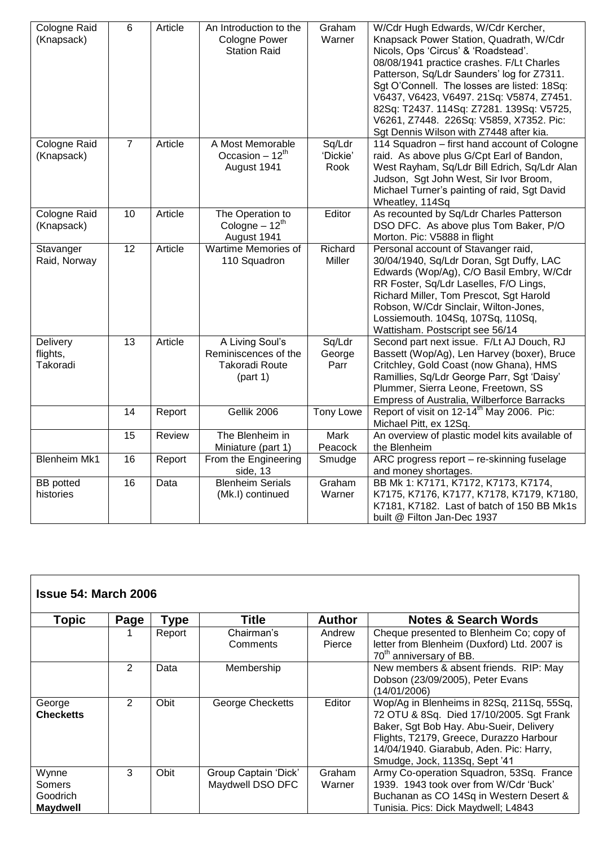| Cologne Raid<br>(Knapsack)       | $6\phantom{1}$  | Article | An Introduction to the<br><b>Cologne Power</b><br><b>Station Raid</b>        | Graham<br>Warner           | W/Cdr Hugh Edwards, W/Cdr Kercher,<br>Knapsack Power Station, Quadrath, W/Cdr<br>Nicols, Ops 'Circus' & 'Roadstead'.<br>08/08/1941 practice crashes. F/Lt Charles<br>Patterson, Sq/Ldr Saunders' log for Z7311.<br>Sgt O'Connell. The losses are listed: 18Sq:<br>V6437, V6423, V6497. 21Sq: V5874, Z7451.<br>82Sq: T2437. 114Sq: Z7281. 139Sq: V5725,<br>V6261, Z7448. 226Sq: V5859, X7352. Pic:<br>Sgt Dennis Wilson with Z7448 after kia. |
|----------------------------------|-----------------|---------|------------------------------------------------------------------------------|----------------------------|----------------------------------------------------------------------------------------------------------------------------------------------------------------------------------------------------------------------------------------------------------------------------------------------------------------------------------------------------------------------------------------------------------------------------------------------|
| Cologne Raid<br>(Knapsack)       | $\overline{7}$  | Article | A Most Memorable<br>Occasion $-12^{th}$<br>August 1941                       | Sq/Ldr<br>'Dickie'<br>Rook | 114 Squadron - first hand account of Cologne<br>raid. As above plus G/Cpt Earl of Bandon,<br>West Rayham, Sq/Ldr Bill Edrich, Sq/Ldr Alan<br>Judson, Sgt John West, Sir Ivor Broom,<br>Michael Turner's painting of raid, Sgt David<br>Wheatley, 114Sq                                                                                                                                                                                       |
| Cologne Raid<br>(Knapsack)       | 10              | Article | The Operation to<br>Cologne $-12^{th}$<br>August 1941                        | Editor                     | As recounted by Sq/Ldr Charles Patterson<br>DSO DFC. As above plus Tom Baker, P/O<br>Morton. Pic: V5888 in flight                                                                                                                                                                                                                                                                                                                            |
| Stavanger<br>Raid, Norway        | $\overline{12}$ | Article | Wartime Memories of<br>110 Squadron                                          | Richard<br><b>Miller</b>   | Personal account of Stavanger raid,<br>30/04/1940, Sq/Ldr Doran, Sgt Duffy, LAC<br>Edwards (Wop/Ag), C/O Basil Embry, W/Cdr<br>RR Foster, Sq/Ldr Laselles, F/O Lings,<br>Richard Miller, Tom Prescot, Sgt Harold<br>Robson, W/Cdr Sinclair, Wilton-Jones,<br>Lossiemouth. 104Sq, 107Sq, 110Sq,<br>Wattisham. Postscript see 56/14                                                                                                            |
| Delivery<br>flights,<br>Takoradi | 13              | Article | A Living Soul's<br>Reminiscences of the<br><b>Takoradi Route</b><br>(part 1) | Sq/Ldr<br>George<br>Parr   | Second part next issue. F/Lt AJ Douch, RJ<br>Bassett (Wop/Ag), Len Harvey (boxer), Bruce<br>Critchley, Gold Coast (now Ghana), HMS<br>Ramillies, Sq/Ldr George Parr, Sgt 'Daisy'<br>Plummer, Sierra Leone, Freetown, SS<br>Empress of Australia, Wilberforce Barracks                                                                                                                                                                        |
|                                  | 14              | Report  | Gellik 2006                                                                  | <b>Tony Lowe</b>           | Report of visit on 12-14 <sup>th</sup> May 2006. Pic:<br>Michael Pitt, ex 12Sq.                                                                                                                                                                                                                                                                                                                                                              |
|                                  | 15              | Review  | The Blenheim in<br>Miniature (part 1)                                        | Mark<br>Peacock            | An overview of plastic model kits available of<br>the Blenheim                                                                                                                                                                                                                                                                                                                                                                               |
| <b>Blenheim Mk1</b>              | 16              | Report  | From the Engineering<br>side, 13                                             | Smudge                     | ARC progress report - re-skinning fuselage<br>and money shortages.                                                                                                                                                                                                                                                                                                                                                                           |
| <b>BB</b> potted<br>histories    | 16              | Data    | <b>Blenheim Serials</b><br>(Mk.I) continued                                  | Graham<br>Warner           | BB Mk 1: K7171, K7172, K7173, K7174,<br>K7175, K7176, K7177, K7178, K7179, K7180,<br>K7181, K7182. Last of batch of 150 BB Mk1s<br>built @ Filton Jan-Dec 1937                                                                                                                                                                                                                                                                               |

| <b>Issue 54: March 2006</b>                    |      |        |                                          |                  |                                                                                                                                                                                                                                                         |  |  |  |  |  |
|------------------------------------------------|------|--------|------------------------------------------|------------------|---------------------------------------------------------------------------------------------------------------------------------------------------------------------------------------------------------------------------------------------------------|--|--|--|--|--|
| <b>Topic</b>                                   | Page | Type   | Title                                    | <b>Author</b>    | <b>Notes &amp; Search Words</b>                                                                                                                                                                                                                         |  |  |  |  |  |
|                                                |      | Report | Chairman's<br>Comments                   | Andrew<br>Pierce | Cheque presented to Blenheim Co; copy of<br>letter from Blenheim (Duxford) Ltd. 2007 is<br>70 <sup>th</sup> anniversary of BB.                                                                                                                          |  |  |  |  |  |
|                                                | 2    | Data   | Membership                               |                  | New members & absent friends. RIP: May<br>Dobson (23/09/2005), Peter Evans<br>(14/01/2006)                                                                                                                                                              |  |  |  |  |  |
| George<br><b>Checketts</b>                     | 2    | Obit   | George Checketts                         | Editor           | Wop/Ag in Blenheims in 82Sq, 211Sq, 55Sq,<br>72 OTU & 8Sq. Died 17/10/2005. Sgt Frank<br>Baker, Sgt Bob Hay. Abu-Sueir, Delivery<br>Flights, T2179, Greece, Durazzo Harbour<br>14/04/1940. Giarabub, Aden. Pic: Harry,<br>Smudge, Jock, 113Sq, Sept '41 |  |  |  |  |  |
| Wynne<br>Somers<br>Goodrich<br><b>Maydwell</b> | 3    | Obit   | Group Captain 'Dick'<br>Maydwell DSO DFC | Graham<br>Warner | Army Co-operation Squadron, 53Sq. France<br>1939. 1943 took over from W/Cdr 'Buck'<br>Buchanan as CO 14Sq in Western Desert &<br>Tunisia. Pics: Dick Maydwell; L4843                                                                                    |  |  |  |  |  |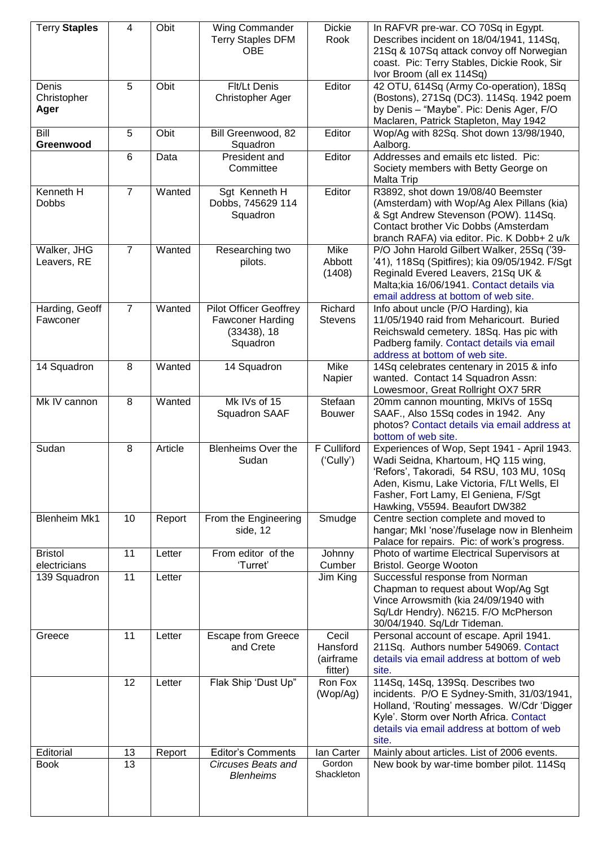| <b>Terry Staples</b>           | 4              | Obit    | Wing Commander<br><b>Terry Staples DFM</b><br><b>OBE</b>                               | <b>Dickie</b><br>Rook                     | In RAFVR pre-war. CO 70Sq in Egypt.<br>Describes incident on 18/04/1941, 114Sq,<br>21Sq & 107Sq attack convoy off Norwegian<br>coast. Pic: Terry Stables, Dickie Rook, Sir<br>Ivor Broom (all ex 114Sq)                                                |
|--------------------------------|----------------|---------|----------------------------------------------------------------------------------------|-------------------------------------------|--------------------------------------------------------------------------------------------------------------------------------------------------------------------------------------------------------------------------------------------------------|
| Denis<br>Christopher<br>Ager   | 5              | Obit    | Flt/Lt Denis<br>Christopher Ager                                                       | Editor                                    | 42 OTU, 614Sq (Army Co-operation), 18Sq<br>(Bostons), 271Sq (DC3). 114Sq. 1942 poem<br>by Denis - "Maybe". Pic: Denis Ager, F/O<br>Maclaren, Patrick Stapleton, May 1942                                                                               |
| Bill<br>Greenwood              | 5              | Obit    | Bill Greenwood, 82<br>Squadron                                                         | Editor                                    | Wop/Ag with 82Sq. Shot down 13/98/1940,<br>Aalborg.                                                                                                                                                                                                    |
|                                | $6\phantom{1}$ | Data    | <b>President and</b><br>Committee                                                      | Editor                                    | Addresses and emails etc listed. Pic:<br>Society members with Betty George on<br><b>Malta Trip</b>                                                                                                                                                     |
| Kenneth H<br><b>Dobbs</b>      | $\overline{7}$ | Wanted  | Sgt Kenneth H<br>Dobbs, 745629 114<br>Squadron                                         | Editor                                    | R3892, shot down 19/08/40 Beemster<br>(Amsterdam) with Wop/Ag Alex Pillans (kia)<br>& Sgt Andrew Stevenson (POW). 114Sq.<br>Contact brother Vic Dobbs (Amsterdam<br>branch RAFA) via editor. Pic. K Dobb+ 2 u/k                                        |
| Walker, JHG<br>Leavers, RE     | $\overline{7}$ | Wanted  | Researching two<br>pilots.                                                             | Mike<br>Abbott<br>(1408)                  | P/O John Harold Gilbert Walker, 25Sq ('39-<br>'41), 118Sq (Spitfires); kia 09/05/1942. F/Sgt<br>Reginald Evered Leavers, 21Sq UK &<br>Malta; kia 16/06/1941. Contact details via<br>email address at bottom of web site.                               |
| Harding, Geoff<br>Fawconer     | $\overline{7}$ | Wanted  | <b>Pilot Officer Geoffrey</b><br><b>Fawconer Harding</b><br>$(33438)$ , 18<br>Squadron | Richard<br><b>Stevens</b>                 | Info about uncle (P/O Harding), kia<br>11/05/1940 raid from Meharicourt. Buried<br>Reichswald cemetery. 18Sq. Has pic with<br>Padberg family. Contact details via email<br>address at bottom of web site.                                              |
| 14 Squadron                    | 8              | Wanted  | 14 Squadron                                                                            | Mike<br>Napier                            | 14Sq celebrates centenary in 2015 & info<br>wanted. Contact 14 Squadron Assn:<br>Lowesmoor, Great Rollright OX7 5RR                                                                                                                                    |
| Mk IV cannon                   | 8              | Wanted  | Mk IVs of 15<br>Squadron SAAF                                                          | Stefaan<br><b>Bouwer</b>                  | 20mm cannon mounting, MkIVs of 15Sq<br>SAAF., Also 15Sq codes in 1942. Any<br>photos? Contact details via email address at<br>bottom of web site.                                                                                                      |
| Sudan                          | 8              | Article | Blenheims Over the<br>Sudan                                                            | F Culliford<br>('Cully')                  | Experiences of Wop, Sept 1941 - April 1943.<br>Wadi Seidna, Khartoum, HQ 115 wing,<br>'Refors', Takoradi, 54 RSU, 103 MU, 10Sq<br>Aden, Kismu, Lake Victoria, F/Lt Wells, El<br>Fasher, Fort Lamy, El Geniena, F/Sgt<br>Hawking, V5594. Beaufort DW382 |
| <b>Blenheim Mk1</b>            | 10             | Report  | From the Engineering<br>side, 12                                                       | Smudge                                    | Centre section complete and moved to<br>hangar; MkI 'nose'/fuselage now in Blenheim<br>Palace for repairs. Pic: of work's progress.                                                                                                                    |
| <b>Bristol</b><br>electricians | 11             | Letter  | From editor of the<br>'Turret'                                                         | Johnny<br>Cumber                          | Photo of wartime Electrical Supervisors at<br>Bristol. George Wooton                                                                                                                                                                                   |
| 139 Squadron                   | 11             | Letter  |                                                                                        | Jim King                                  | Successful response from Norman<br>Chapman to request about Wop/Ag Sgt<br>Vince Arrowsmith (kia 24/09/1940 with<br>Sq/Ldr Hendry). N6215. F/O McPherson<br>30/04/1940. Sq/Ldr Tideman.                                                                 |
| Greece                         | 11             | Letter  | <b>Escape from Greece</b><br>and Crete                                                 | Cecil<br>Hansford<br>(airframe<br>fitter) | Personal account of escape. April 1941.<br>211Sq. Authors number 549069. Contact<br>details via email address at bottom of web<br>site.                                                                                                                |
|                                | 12             | Letter  | Flak Ship 'Dust Up"                                                                    | Ron Fox<br>(Wop/Ag)                       | 114Sq, 14Sq, 139Sq. Describes two<br>incidents. P/O E Sydney-Smith, 31/03/1941,<br>Holland, 'Routing' messages. W/Cdr 'Digger<br>Kyle'. Storm over North Africa. Contact<br>details via email address at bottom of web<br>site.                        |
| Editorial                      | 13             | Report  | <b>Editor's Comments</b>                                                               | lan Carter                                | Mainly about articles. List of 2006 events.                                                                                                                                                                                                            |
| <b>Book</b>                    | 13             |         | <b>Circuses Beats and</b><br><b>Blenheims</b>                                          | Gordon<br>Shackleton                      | New book by war-time bomber pilot. 114Sq                                                                                                                                                                                                               |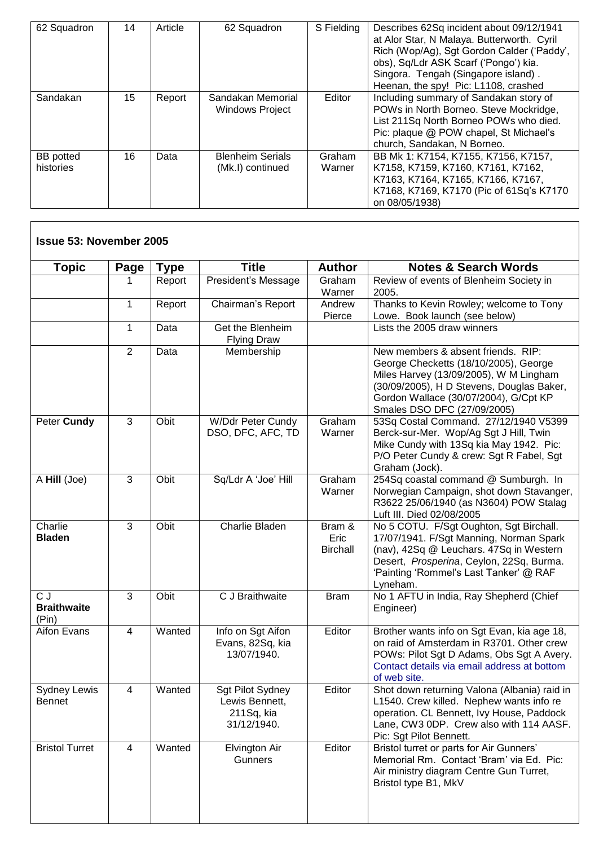| 62 Squadron                   | 14 | Article | 62 Squadron                                 | S Fielding       | Describes 62Sq incident about 09/12/1941<br>at Alor Star, N Malaya. Butterworth. Cyril<br>Rich (Wop/Ag), Sgt Gordon Calder ('Paddy',<br>obs), Sq/Ldr ASK Scarf ('Pongo') kia.<br>Singora. Tengah (Singapore island).<br>Heenan, the spy! Pic: L1108, crashed |
|-------------------------------|----|---------|---------------------------------------------|------------------|--------------------------------------------------------------------------------------------------------------------------------------------------------------------------------------------------------------------------------------------------------------|
| Sandakan                      | 15 | Report  | Sandakan Memorial<br><b>Windows Project</b> | Editor           | Including summary of Sandakan story of<br>POWs in North Borneo. Steve Mockridge,<br>List 211Sq North Borneo POWs who died.<br>Pic: plaque @ POW chapel, St Michael's<br>church, Sandakan, N Borneo.                                                          |
| <b>BB</b> potted<br>histories | 16 | Data    | <b>Blenheim Serials</b><br>(Mk.I) continued | Graham<br>Warner | BB Mk 1: K7154, K7155, K7156, K7157,<br>K7158, K7159, K7160, K7161, K7162,<br>K7163, K7164, K7165, K7166, K7167,<br>K7168, K7169, K7170 (Pic of 61Sq's K7170<br>on 08/05/1938)                                                                               |

 $\overline{\phantom{a}}$ 

| <b>Topic</b>                         | Page           | <b>Type</b> | <b>Title</b>                                                    | <b>Author</b>                     | <b>Notes &amp; Search Words</b>                                                                                                                                                                                                            |
|--------------------------------------|----------------|-------------|-----------------------------------------------------------------|-----------------------------------|--------------------------------------------------------------------------------------------------------------------------------------------------------------------------------------------------------------------------------------------|
|                                      |                | Report      | President's Message                                             | Graham<br>Warner                  | Review of events of Blenheim Society in<br>2005.                                                                                                                                                                                           |
|                                      | $\mathbf{1}$   | Report      | Chairman's Report                                               | Andrew<br>Pierce                  | Thanks to Kevin Rowley; welcome to Tony<br>Lowe. Book launch (see below)                                                                                                                                                                   |
|                                      | $\mathbf 1$    | Data        | Get the Blenheim<br><b>Flying Draw</b>                          |                                   | Lists the 2005 draw winners                                                                                                                                                                                                                |
|                                      | $\overline{2}$ | Data        | Membership                                                      |                                   | New members & absent friends. RIP:<br>George Checketts (18/10/2005), George<br>Miles Harvey (13/09/2005), W M Lingham<br>(30/09/2005), H D Stevens, Douglas Baker,<br>Gordon Wallace (30/07/2004), G/Cpt KP<br>Smales DSO DFC (27/09/2005) |
| Peter Cundy                          | 3              | Obit        | W/Ddr Peter Cundy<br>DSO, DFC, AFC, TD                          | Graham<br>Warner                  | 53Sq Costal Command. 27/12/1940 V5399<br>Berck-sur-Mer. Wop/Ag Sgt J Hill, Twin<br>Mike Cundy with 13Sq kia May 1942. Pic:<br>P/O Peter Cundy & crew: Sgt R Fabel, Sgt<br>Graham (Jock).                                                   |
| A Hill (Joe)                         | $\overline{3}$ | Obit        | Sq/Ldr A 'Joe' Hill                                             | Graham<br>Warner                  | 254Sq coastal command @ Sumburgh. In<br>Norwegian Campaign, shot down Stavanger,<br>R3622 25/06/1940 (as N3604) POW Stalag<br>Luft III. Died 02/08/2005                                                                                    |
| Charlie<br><b>Bladen</b>             | 3              | Obit        | Charlie Bladen                                                  | Bram &<br>Eric<br><b>Birchall</b> | No 5 COTU. F/Sgt Oughton, Sgt Birchall.<br>17/07/1941. F/Sgt Manning, Norman Spark<br>(nav), 42Sq @ Leuchars. 47Sq in Western<br>Desert, Prosperina, Ceylon, 22Sq, Burma.<br>'Painting 'Rommel's Last Tanker' @ RAF<br>Lyneham.            |
| C J<br><b>Braithwaite</b><br>(Pin)   | 3              | Obit        | C J Braithwaite                                                 | <b>Bram</b>                       | No 1 AFTU in India, Ray Shepherd (Chief<br>Engineer)                                                                                                                                                                                       |
| <b>Aifon Evans</b>                   | $\overline{4}$ | Wanted      | Info on Sgt Aifon<br>Evans, 82Sq, kia<br>13/07/1940.            | Editor                            | Brother wants info on Sgt Evan, kia age 18,<br>on raid of Amsterdam in R3701. Other crew<br>POWs: Pilot Sgt D Adams, Obs Sgt A Avery.<br>Contact details via email address at bottom<br>of web site.                                       |
| <b>Sydney Lewis</b><br><b>Bennet</b> | 4              | Wanted      | Sgt Pilot Sydney<br>Lewis Bennett,<br>211Sq, kia<br>31/12/1940. | Editor                            | Shot down returning Valona (Albania) raid in<br>L1540. Crew killed. Nephew wants info re<br>operation. CL Bennett, Ivy House, Paddock<br>Lane, CW3 0DP. Crew also with 114 AASF.<br>Pic: Sgt Pilot Bennett.                                |
| <b>Bristol Turret</b>                | $\overline{4}$ | Wanted      | Elvington Air<br>Gunners                                        | Editor                            | Bristol turret or parts for Air Gunners'<br>Memorial Rm. Contact 'Bram' via Ed. Pic:<br>Air ministry diagram Centre Gun Turret,<br>Bristol type B1, MkV                                                                                    |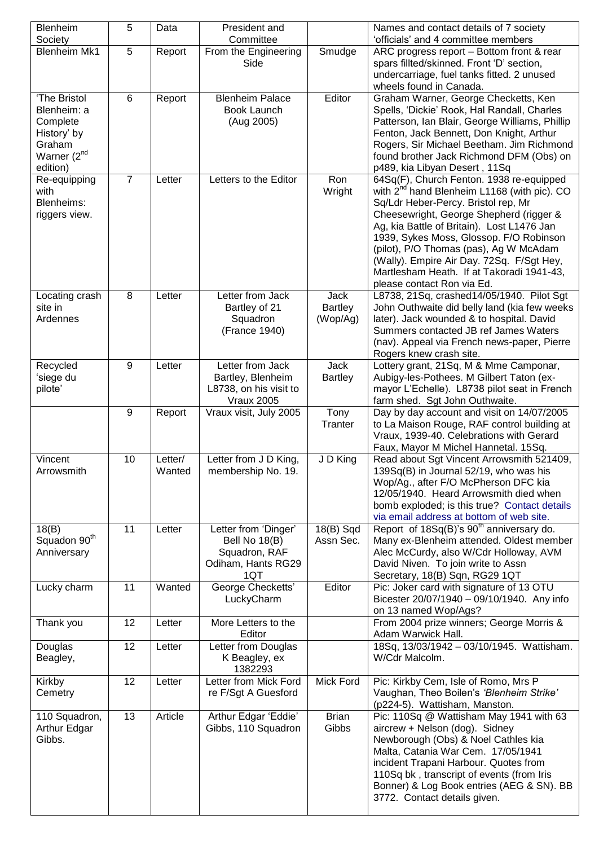| Blenheim                 | 5              | Data    | President and                |                | Names and contact details of 7 society                                                 |
|--------------------------|----------------|---------|------------------------------|----------------|----------------------------------------------------------------------------------------|
| Society                  |                |         | Committee                    |                | 'officials' and 4 committee members                                                    |
| <b>Blenheim Mk1</b>      | 5              | Report  | From the Engineering<br>Side | Smudge         | ARC progress report - Bottom front & rear<br>spars fillted/skinned. Front 'D' section, |
|                          |                |         |                              |                | undercarriage, fuel tanks fitted. 2 unused                                             |
|                          |                |         |                              |                | wheels found in Canada.                                                                |
| 'The Bristol             | 6              | Report  | <b>Blenheim Palace</b>       | Editor         | Graham Warner, George Checketts, Ken                                                   |
| Blenheim: a              |                |         | Book Launch                  |                | Spells, 'Dickie' Rook, Hal Randall, Charles                                            |
| Complete                 |                |         | (Aug 2005)                   |                | Patterson, Ian Blair, George Williams, Phillip                                         |
| History' by              |                |         |                              |                | Fenton, Jack Bennett, Don Knight, Arthur                                               |
| Graham                   |                |         |                              |                | Rogers, Sir Michael Beetham. Jim Richmond                                              |
| Warner (2 <sup>nd</sup>  |                |         |                              |                | found brother Jack Richmond DFM (Obs) on                                               |
| edition)                 |                |         |                              |                | p489, kia Libyan Desert, 11Sq                                                          |
| Re-equipping             | $\overline{7}$ | Letter  | Letters to the Editor        | Ron            | 64Sq(F), Church Fenton. 1938 re-equipped                                               |
| with                     |                |         |                              | Wright         | with 2 <sup>nd</sup> hand Blenheim L1168 (with pic). CO                                |
| Blenheims:               |                |         |                              |                | Sq/Ldr Heber-Percy. Bristol rep, Mr                                                    |
| riggers view.            |                |         |                              |                | Cheesewright, George Shepherd (rigger &                                                |
|                          |                |         |                              |                | Ag, kia Battle of Britain). Lost L1476 Jan                                             |
|                          |                |         |                              |                | 1939, Sykes Moss, Glossop. F/O Robinson                                                |
|                          |                |         |                              |                | (pilot), P/O Thomas (pas), Ag W McAdam                                                 |
|                          |                |         |                              |                | (Wally). Empire Air Day. 72Sq. F/Sgt Hey,<br>Martlesham Heath. If at Takoradi 1941-43, |
|                          |                |         |                              |                | please contact Ron via Ed.                                                             |
| Locating crash           | $\,8\,$        | Letter  | Letter from Jack             | Jack           | L8738, 21Sq, crashed14/05/1940. Pilot Sgt                                              |
| site in                  |                |         | Bartley of 21                | <b>Bartley</b> | John Outhwaite did belly land (kia few weeks                                           |
| Ardennes                 |                |         | Squadron                     | (Wop/Ag)       | later). Jack wounded & to hospital. David                                              |
|                          |                |         | (France 1940)                |                | Summers contacted JB ref James Waters                                                  |
|                          |                |         |                              |                | (nav). Appeal via French news-paper, Pierre                                            |
|                          |                |         |                              |                | Rogers knew crash site.                                                                |
| Recycled                 | 9              | Letter  | Letter from Jack             | <b>Jack</b>    | Lottery grant, 21Sq, M & Mme Camponar,                                                 |
| 'siege du                |                |         | Bartley, Blenheim            | <b>Bartley</b> | Aubigy-les-Pothees. M Gilbert Taton (ex-                                               |
| pilote'                  |                |         | L8738, on his visit to       |                | mayor L'Echelle). L8738 pilot seat in French                                           |
|                          |                |         | <b>Vraux 2005</b>            |                | farm shed. Sgt John Outhwaite.                                                         |
|                          | 9              | Report  | Vraux visit, July 2005       | Tony           | Day by day account and visit on 14/07/2005                                             |
|                          |                |         |                              | Tranter        | to La Maison Rouge, RAF control building at                                            |
|                          |                |         |                              |                | Vraux, 1939-40. Celebrations with Gerard                                               |
| Vincent                  | 10             | Letter/ | Letter from J D King,        | J D King       | Faux, Mayor M Michel Hannetal. 15Sq.<br>Read about Sgt Vincent Arrowsmith 521409,      |
| Arrowsmith               |                | Wanted  | membership No. 19.           |                | 139Sq(B) in Journal 52/19, who was his                                                 |
|                          |                |         |                              |                | Wop/Ag., after F/O McPherson DFC kia                                                   |
|                          |                |         |                              |                | 12/05/1940. Heard Arrowsmith died when                                                 |
|                          |                |         |                              |                | bomb exploded; is this true? Contact details                                           |
|                          |                |         |                              |                | via email address at bottom of web site.                                               |
| 18(B)                    | 11             | Letter  | Letter from 'Dinger'         | $18(B)$ Sqd    | Report of 18Sq(B)'s 90 <sup>th</sup> anniversary do.                                   |
| Squadon 90 <sup>th</sup> |                |         | Bell No 18(B)                | Assn Sec.      | Many ex-Blenheim attended. Oldest member                                               |
| Anniversary              |                |         | Squadron, RAF                |                | Alec McCurdy, also W/Cdr Holloway, AVM                                                 |
|                          |                |         | Odiham, Hants RG29           |                | David Niven. To join write to Assn                                                     |
|                          |                |         | 1QT                          |                | Secretary, 18(B) Sqn, RG29 1QT                                                         |
| Lucky charm              | 11             | Wanted  | George Checketts'            | Editor         | Pic: Joker card with signature of 13 OTU<br>Bicester 20/07/1940 - 09/10/1940. Any info |
|                          |                |         | LuckyCharm                   |                | on 13 named Wop/Ags?                                                                   |
| Thank you                | 12             | Letter  | More Letters to the          |                | From 2004 prize winners; George Morris &                                               |
|                          |                |         | Editor                       |                | Adam Warwick Hall.                                                                     |
| Douglas                  | 12             | Letter  | Letter from Douglas          |                | 18Sq, 13/03/1942 - 03/10/1945. Wattisham.                                              |
| Beagley,                 |                |         | K Beagley, ex                |                | W/Cdr Malcolm.                                                                         |
|                          |                |         | 1382293                      |                |                                                                                        |
| Kirkby                   | 12             | Letter  | Letter from Mick Ford        | Mick Ford      | Pic: Kirkby Cem, Isle of Romo, Mrs P                                                   |
| Cemetry                  |                |         | re F/Sgt A Guesford          |                | Vaughan, Theo Boilen's 'Blenheim Strike'                                               |
|                          |                |         |                              |                | (p224-5). Wattisham, Manston.                                                          |
| 110 Squadron,            | 13             | Article | Arthur Edgar 'Eddie'         | <b>Brian</b>   | Pic: 110Sq @ Wattisham May 1941 with 63                                                |
| Arthur Edgar             |                |         | Gibbs, 110 Squadron          | Gibbs          | aircrew + Nelson (dog). Sidney                                                         |
| Gibbs.                   |                |         |                              |                | Newborough (Obs) & Noel Cathles kia                                                    |
|                          |                |         |                              |                | Malta, Catania War Cem. 17/05/1941                                                     |
|                          |                |         |                              |                | incident Trapani Harbour. Quotes from<br>110Sq bk, transcript of events (from Iris     |
|                          |                |         |                              |                | Bonner) & Log Book entries (AEG & SN). BB                                              |
|                          |                |         |                              |                | 3772. Contact details given.                                                           |
|                          |                |         |                              |                |                                                                                        |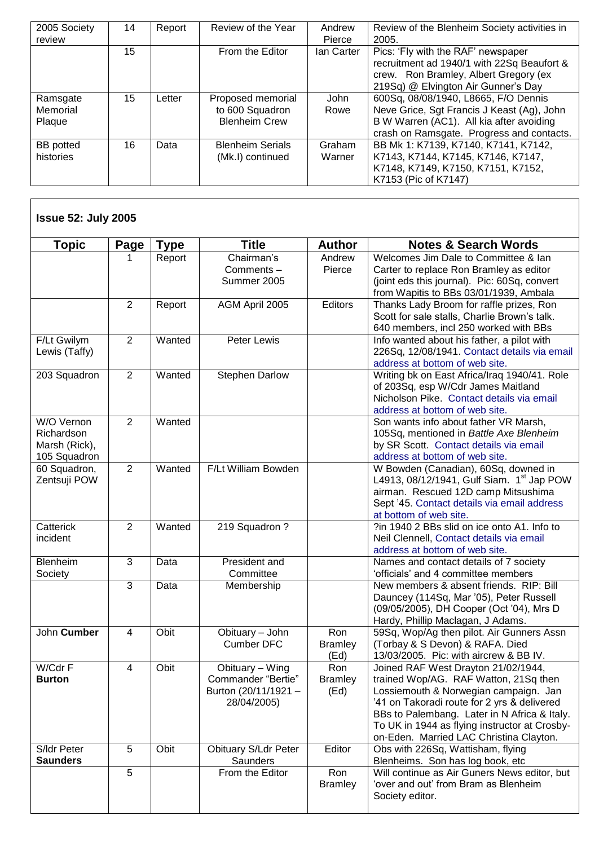| 2005 Society<br>review         | 14 | Report | Review of the Year                                           | Andrew<br>Pierce | Review of the Blenheim Society activities in<br>2005.                                                                                                                       |
|--------------------------------|----|--------|--------------------------------------------------------------|------------------|-----------------------------------------------------------------------------------------------------------------------------------------------------------------------------|
|                                | 15 |        | From the Editor                                              | lan Carter       | Pics: 'Fly with the RAF' newspaper<br>recruitment ad 1940/1 with 22Sq Beaufort &<br>crew. Ron Bramley, Albert Gregory (ex<br>219Sq) @ Elvington Air Gunner's Day            |
| Ramsgate<br>Memorial<br>Plaque | 15 | Letter | Proposed memorial<br>to 600 Squadron<br><b>Blenheim Crew</b> | John<br>Rowe     | 600Sq, 08/08/1940, L8665, F/O Dennis<br>Neve Grice, Sgt Francis J Keast (Ag), John<br>B W Warren (AC1). All kia after avoiding<br>crash on Ramsgate. Progress and contacts. |
| <b>BB</b> potted<br>histories  | 16 | Data   | <b>Blenheim Serials</b><br>(Mk.I) continued                  | Graham<br>Warner | BB Mk 1: K7139, K7140, K7141, K7142,<br>K7143, K7144, K7145, K7146, K7147,<br>K7148, K7149, K7150, K7151, K7152,<br>K7153 (Pic of K7147)                                    |

| <b>Topic</b>                                              | Page           | <b>Type</b> | <b>Title</b>                                                                 | <b>Author</b>                 | <b>Notes &amp; Search Words</b>                                                                                                                                                                                                                                                                                  |
|-----------------------------------------------------------|----------------|-------------|------------------------------------------------------------------------------|-------------------------------|------------------------------------------------------------------------------------------------------------------------------------------------------------------------------------------------------------------------------------------------------------------------------------------------------------------|
|                                                           |                | Report      | Chairman's<br>Comments-<br>Summer 2005                                       | Andrew<br>Pierce              | Welcomes Jim Dale to Committee & Ian<br>Carter to replace Ron Bramley as editor<br>(joint eds this journal). Pic: 60Sq, convert<br>from Wapitis to BBs 03/01/1939, Ambala                                                                                                                                        |
|                                                           | $\overline{2}$ | Report      | AGM April 2005                                                               | <b>Editors</b>                | Thanks Lady Broom for raffle prizes, Ron<br>Scott for sale stalls, Charlie Brown's talk.<br>640 members, incl 250 worked with BBs                                                                                                                                                                                |
| F/Lt Gwilym<br>Lewis (Taffy)                              | $\overline{2}$ | Wanted      | Peter Lewis                                                                  |                               | Info wanted about his father, a pilot with<br>226Sq, 12/08/1941. Contact details via email<br>address at bottom of web site.                                                                                                                                                                                     |
| 203 Squadron                                              | 2              | Wanted      | <b>Stephen Darlow</b>                                                        |                               | Writing bk on East Africa/Iraq 1940/41. Role<br>of 203Sq, esp W/Cdr James Maitland<br>Nicholson Pike. Contact details via email<br>address at bottom of web site.                                                                                                                                                |
| W/O Vernon<br>Richardson<br>Marsh (Rick),<br>105 Squadron | $\overline{2}$ | Wanted      |                                                                              |                               | Son wants info about father VR Marsh,<br>105Sq, mentioned in Battle Axe Blenheim<br>by SR Scott. Contact details via email<br>address at bottom of web site.                                                                                                                                                     |
| 60 Squadron,<br>Zentsuji POW                              | 2              | Wanted      | F/Lt William Bowden                                                          |                               | W Bowden (Canadian), 60Sq, downed in<br>L4913, 08/12/1941, Gulf Siam. 1 <sup>st</sup> Jap POW<br>airman. Rescued 12D camp Mitsushima<br>Sept '45. Contact details via email address<br>at bottom of web site.                                                                                                    |
| Catterick<br>incident                                     | $\overline{2}$ | Wanted      | 219 Squadron?                                                                |                               | ?in 1940 2 BBs slid on ice onto A1. Info to<br>Neil Clennell, Contact details via email<br>address at bottom of web site.                                                                                                                                                                                        |
| Blenheim<br>Society                                       | 3              | Data        | President and<br>Committee                                                   |                               | Names and contact details of 7 society<br>'officials' and 4 committee members                                                                                                                                                                                                                                    |
|                                                           | 3              | Data        | Membership                                                                   |                               | New members & absent friends. RIP: Bill<br>Dauncey (114Sq, Mar '05), Peter Russell<br>(09/05/2005), DH Cooper (Oct '04), Mrs D<br>Hardy, Phillip Maclagan, J Adams.                                                                                                                                              |
| John Cumber                                               | 4              | Obit        | Obituary - John<br><b>Cumber DFC</b>                                         | Ron<br><b>Bramley</b><br>(Ed) | 59Sq, Wop/Ag then pilot. Air Gunners Assn<br>(Torbay & S Devon) & RAFA. Died<br>13/03/2005. Pic: with aircrew & BB IV.                                                                                                                                                                                           |
| W/Cdr F<br><b>Burton</b>                                  | 4              | Obit        | Obituary – Wing<br>Commander "Bertie"<br>Burton (20/11/1921 -<br>28/04/2005) | Ron<br><b>Bramley</b><br>(Ed) | Joined RAF West Drayton 21/02/1944,<br>trained Wop/AG. RAF Watton, 21Sq then<br>Lossiemouth & Norwegian campaign. Jan<br>'41 on Takoradi route for 2 yrs & delivered<br>BBs to Palembang. Later in N Africa & Italy.<br>To UK in 1944 as flying instructor at Crosby-<br>on-Eden. Married LAC Christina Clayton. |
| S/Idr Peter<br><b>Saunders</b>                            | 5              | Obit        | <b>Obituary S/Ldr Peter</b><br>Saunders                                      | Editor                        | Obs with 226Sq, Wattisham, flying<br>Blenheims. Son has log book, etc                                                                                                                                                                                                                                            |
|                                                           | 5              |             | From the Editor                                                              | Ron<br><b>Bramley</b>         | Will continue as Air Guners News editor, but<br>'over and out' from Bram as Blenheim<br>Society editor.                                                                                                                                                                                                          |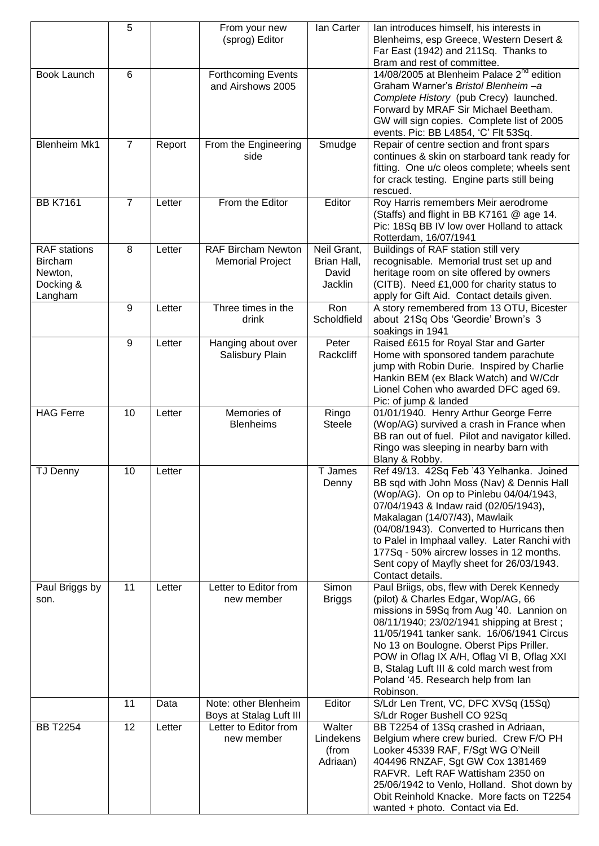|                                                                          | 5              |        | From your new<br>(sprog) Editor                      | lan Carter                                     | lan introduces himself, his interests in<br>Blenheims, esp Greece, Western Desert &<br>Far East (1942) and 211Sq. Thanks to<br>Bram and rest of committee.                                                                                                                                                                                                                                                           |
|--------------------------------------------------------------------------|----------------|--------|------------------------------------------------------|------------------------------------------------|----------------------------------------------------------------------------------------------------------------------------------------------------------------------------------------------------------------------------------------------------------------------------------------------------------------------------------------------------------------------------------------------------------------------|
| Book Launch                                                              | 6              |        | <b>Forthcoming Events</b><br>and Airshows 2005       |                                                | 14/08/2005 at Blenheim Palace 2 <sup>nd</sup> edition<br>Graham Warner's Bristol Blenheim-a<br>Complete History (pub Crecy) launched.<br>Forward by MRAF Sir Michael Beetham.<br>GW will sign copies. Complete list of 2005<br>events. Pic: BB L4854, 'C' Flt 53Sq.                                                                                                                                                  |
| <b>Blenheim Mk1</b>                                                      | $\overline{7}$ | Report | From the Engineering<br>side                         | Smudge                                         | Repair of centre section and front spars<br>continues & skin on starboard tank ready for<br>fitting. One u/c oleos complete; wheels sent<br>for crack testing. Engine parts still being<br>rescued.                                                                                                                                                                                                                  |
| <b>BB K7161</b>                                                          | $\overline{7}$ | Letter | From the Editor                                      | Editor                                         | Roy Harris remembers Meir aerodrome<br>(Staffs) and flight in BB K7161 @ age 14.<br>Pic: 18Sq BB IV low over Holland to attack<br>Rotterdam, 16/07/1941                                                                                                                                                                                                                                                              |
| <b>RAF</b> stations<br><b>Bircham</b><br>Newton,<br>Docking &<br>Langham | 8              | Letter | <b>RAF Bircham Newton</b><br><b>Memorial Project</b> | Neil Grant,<br>Brian Hall,<br>David<br>Jacklin | Buildings of RAF station still very<br>recognisable. Memorial trust set up and<br>heritage room on site offered by owners<br>(CITB). Need £1,000 for charity status to<br>apply for Gift Aid. Contact details given.                                                                                                                                                                                                 |
|                                                                          | 9              | Letter | Three times in the<br>drink                          | Ron<br>Scholdfield                             | A story remembered from 13 OTU, Bicester<br>about 21Sq Obs 'Geordie' Brown's 3<br>soakings in 1941                                                                                                                                                                                                                                                                                                                   |
|                                                                          | 9              | Letter | Hanging about over<br>Salisbury Plain                | Peter<br>Rackcliff                             | Raised £615 for Royal Star and Garter<br>Home with sponsored tandem parachute<br>jump with Robin Durie. Inspired by Charlie<br>Hankin BEM (ex Black Watch) and W/Cdr<br>Lionel Cohen who awarded DFC aged 69.<br>Pic: of jump & landed                                                                                                                                                                               |
| <b>HAG Ferre</b>                                                         | 10             | Letter | Memories of<br><b>Blenheims</b>                      | Ringo<br><b>Steele</b>                         | 01/01/1940. Henry Arthur George Ferre<br>(Wop/AG) survived a crash in France when<br>BB ran out of fuel. Pilot and navigator killed.<br>Ringo was sleeping in nearby barn with<br>Blany & Robby.                                                                                                                                                                                                                     |
| <b>TJ Denny</b>                                                          | 10             | Letter |                                                      | T James<br>Denny                               | Ref 49/13. 42Sq Feb '43 Yelhanka. Joined<br>BB sqd with John Moss (Nav) & Dennis Hall<br>(Wop/AG). On op to Pinlebu 04/04/1943,<br>07/04/1943 & Indaw raid (02/05/1943),<br>Makalagan (14/07/43), Mawlaik<br>(04/08/1943). Converted to Hurricans then<br>to Palel in Imphaal valley. Later Ranchi with<br>177Sq - 50% aircrew losses in 12 months.<br>Sent copy of Mayfly sheet for 26/03/1943.<br>Contact details. |
| Paul Briggs by<br>son.                                                   | 11             | Letter | Letter to Editor from<br>new member                  | Simon<br><b>Briggs</b>                         | Paul Briigs, obs, flew with Derek Kennedy<br>(pilot) & Charles Edgar, Wop/AG, 66<br>missions in 59Sq from Aug '40. Lannion on<br>08/11/1940; 23/02/1941 shipping at Brest;<br>11/05/1941 tanker sank. 16/06/1941 Circus<br>No 13 on Boulogne. Oberst Pips Priller.<br>POW in Oflag IX A/H, Oflag VI B, Oflag XXI<br>B, Stalag Luft III & cold march west from<br>Poland '45. Research help from lan<br>Robinson.     |
|                                                                          | 11             | Data   | Note: other Blenheim<br>Boys at Stalag Luft III      | Editor                                         | S/Ldr Len Trent, VC, DFC XVSq (15Sq)<br>S/Ldr Roger Bushell CO 92Sq                                                                                                                                                                                                                                                                                                                                                  |
| <b>BB T2254</b>                                                          | 12             | Letter | Letter to Editor from<br>new member                  | Walter<br>Lindekens<br>(from<br>Adriaan)       | BB T2254 of 13Sq crashed in Adriaan,<br>Belgium where crew buried. Crew F/O PH<br>Looker 45339 RAF, F/Sgt WG O'Neill<br>404496 RNZAF, Sgt GW Cox 1381469<br>RAFVR. Left RAF Wattisham 2350 on<br>25/06/1942 to Venlo, Holland. Shot down by<br>Obit Reinhold Knacke. More facts on T2254<br>wanted + photo. Contact via Ed.                                                                                          |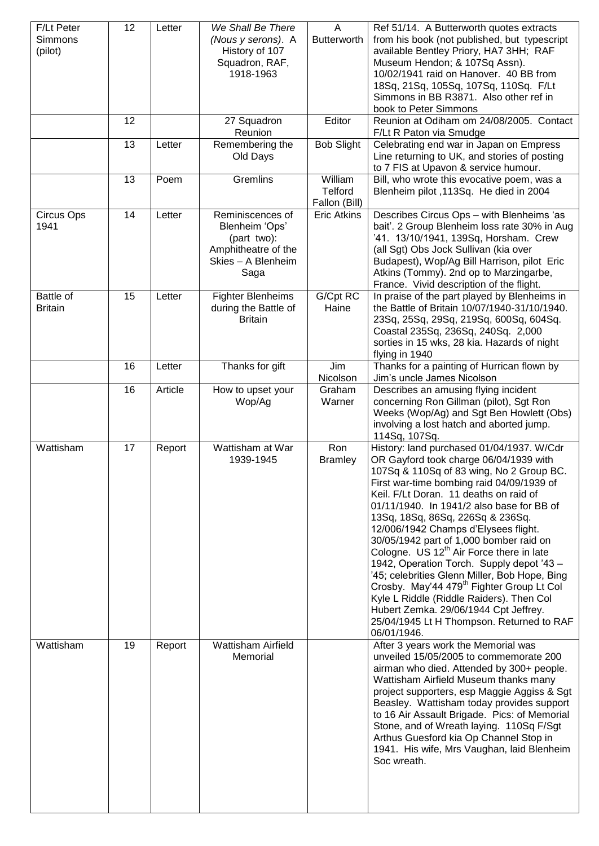| F/Lt Peter<br>Simmons<br>(pilot) | 12 | Letter  | We Shall Be There<br>(Nous y serons). A<br>History of 107<br>Squadron, RAF,<br>1918-1963               | A<br><b>Butterworth</b>             | Ref 51/14. A Butterworth quotes extracts<br>from his book (not published, but typescript<br>available Bentley Priory, HA7 3HH; RAF<br>Museum Hendon; & 107Sq Assn).<br>10/02/1941 raid on Hanover. 40 BB from<br>18Sq, 21Sq, 105Sq, 107Sq, 110Sq. F/Lt<br>Simmons in BB R3871. Also other ref in<br>book to Peter Simmons                                                                                                                                                                                                                                                                                                                                                                                                                                  |
|----------------------------------|----|---------|--------------------------------------------------------------------------------------------------------|-------------------------------------|------------------------------------------------------------------------------------------------------------------------------------------------------------------------------------------------------------------------------------------------------------------------------------------------------------------------------------------------------------------------------------------------------------------------------------------------------------------------------------------------------------------------------------------------------------------------------------------------------------------------------------------------------------------------------------------------------------------------------------------------------------|
|                                  | 12 |         | 27 Squadron<br>Reunion                                                                                 | Editor                              | Reunion at Odiham om 24/08/2005. Contact<br>F/Lt R Paton via Smudge                                                                                                                                                                                                                                                                                                                                                                                                                                                                                                                                                                                                                                                                                        |
|                                  | 13 | Letter  | Remembering the<br>Old Days                                                                            | <b>Bob Slight</b>                   | Celebrating end war in Japan on Empress<br>Line returning to UK, and stories of posting<br>to 7 FIS at Upavon & service humour.                                                                                                                                                                                                                                                                                                                                                                                                                                                                                                                                                                                                                            |
|                                  | 13 | Poem    | <b>Gremlins</b>                                                                                        | William<br>Telford<br>Fallon (Bill) | Bill, who wrote this evocative poem, was a<br>Blenheim pilot, 113Sq. He died in 2004                                                                                                                                                                                                                                                                                                                                                                                                                                                                                                                                                                                                                                                                       |
| Circus Ops<br>1941               | 14 | Letter  | Reminiscences of<br>Blenheim 'Ops'<br>(part two):<br>Amphitheatre of the<br>Skies - A Blenheim<br>Saga | <b>Eric Atkins</b>                  | Describes Circus Ops - with Blenheims 'as<br>bait'. 2 Group Blenheim loss rate 30% in Aug<br>'41. 13/10/1941, 139Sq, Horsham. Crew<br>(all Sgt) Obs Jock Sullivan (kia over<br>Budapest), Wop/Ag Bill Harrison, pilot Eric<br>Atkins (Tommy). 2nd op to Marzingarbe,<br>France. Vivid description of the flight.                                                                                                                                                                                                                                                                                                                                                                                                                                           |
| Battle of<br><b>Britain</b>      | 15 | Letter  | <b>Fighter Blenheims</b><br>during the Battle of<br><b>Britain</b>                                     | G/Cpt RC<br>Haine                   | In praise of the part played by Blenheims in<br>the Battle of Britain 10/07/1940-31/10/1940.<br>23Sq, 25Sq, 29Sq, 219Sq, 600Sq, 604Sq.<br>Coastal 235Sq, 236Sq, 240Sq. 2,000<br>sorties in 15 wks, 28 kia. Hazards of night<br>flying in 1940                                                                                                                                                                                                                                                                                                                                                                                                                                                                                                              |
|                                  | 16 | Letter  | Thanks for gift                                                                                        | Jim<br>Nicolson                     | Thanks for a painting of Hurrican flown by<br>Jim's uncle James Nicolson                                                                                                                                                                                                                                                                                                                                                                                                                                                                                                                                                                                                                                                                                   |
|                                  | 16 | Article | How to upset your<br>Wop/Ag                                                                            | Graham<br>Warner                    | Describes an amusing flying incident<br>concerning Ron Gillman (pilot), Sgt Ron<br>Weeks (Wop/Ag) and Sgt Ben Howlett (Obs)<br>involving a lost hatch and aborted jump.<br>114Sq, 107Sq.                                                                                                                                                                                                                                                                                                                                                                                                                                                                                                                                                                   |
| Wattisham                        | 17 | Report  | Wattisham at War<br>1939-1945                                                                          | Ron<br><b>Bramley</b>               | History: land purchased 01/04/1937. W/Cdr<br>OR Gayford took charge 06/04/1939 with<br>107Sq & 110Sq of 83 wing, No 2 Group BC.<br>First war-time bombing raid 04/09/1939 of<br>Keil. F/Lt Doran. 11 deaths on raid of<br>01/11/1940. In 1941/2 also base for BB of<br>13Sq, 18Sq, 86Sq, 226Sq & 236Sq.<br>12/006/1942 Champs d'Elysees flight.<br>30/05/1942 part of 1,000 bomber raid on<br>Cologne. US 12 <sup>th</sup> Air Force there in late<br>1942, Operation Torch. Supply depot '43 -<br>'45; celebrities Glenn Miller, Bob Hope, Bing<br>Crosby. May'44 479 <sup>th</sup> Fighter Group Lt Col<br>Kyle L Riddle (Riddle Raiders). Then Col<br>Hubert Zemka. 29/06/1944 Cpt Jeffrey.<br>25/04/1945 Lt H Thompson. Returned to RAF<br>06/01/1946. |
| Wattisham                        | 19 | Report  | Wattisham Airfield<br>Memorial                                                                         |                                     | After 3 years work the Memorial was<br>unveiled 15/05/2005 to commemorate 200<br>airman who died. Attended by 300+ people.<br>Wattisham Airfield Museum thanks many<br>project supporters, esp Maggie Aggiss & Sgt<br>Beasley. Wattisham today provides support<br>to 16 Air Assault Brigade. Pics: of Memorial<br>Stone, and of Wreath laying. 110Sq F/Sgt<br>Arthus Guesford kia Op Channel Stop in<br>1941. His wife, Mrs Vaughan, laid Blenheim<br>Soc wreath.                                                                                                                                                                                                                                                                                         |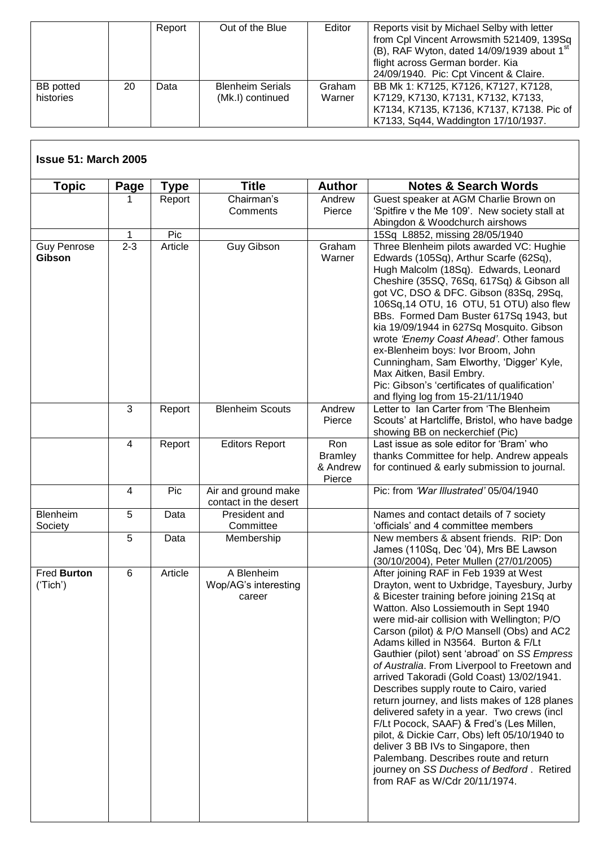|                               |    | Report | Out of the Blue                             | Editor           | Reports visit by Michael Selby with letter<br>from Cpl Vincent Arrowsmith 521409, 139Sq<br>(B), RAF Wyton, dated 14/09/1939 about 1 <sup>st</sup><br>flight across German border. Kia<br>24/09/1940. Pic: Cpt Vincent & Claire. |
|-------------------------------|----|--------|---------------------------------------------|------------------|---------------------------------------------------------------------------------------------------------------------------------------------------------------------------------------------------------------------------------|
| <b>BB</b> potted<br>histories | 20 | Data   | <b>Blenheim Serials</b><br>(Mk.I) continued | Graham<br>Warner | BB Mk 1: K7125, K7126, K7127, K7128,<br>K7129, K7130, K7131, K7132, K7133,<br>K7134, K7135, K7136, K7137, K7138. Pic of<br>K7133, Sq44, Waddington 17/10/1937.                                                                  |

## **Issue 51: March 2005**

 $\overline{\phantom{a}}$ 

| <b>Topic</b>                 | <b>Page</b>    | <b>Type</b> | <b>Title</b>            | <b>Author</b>              | <b>Notes &amp; Search Words</b>                                                           |  |  |
|------------------------------|----------------|-------------|-------------------------|----------------------------|-------------------------------------------------------------------------------------------|--|--|
|                              | 1              | Report      | Chairman's              | Andrew                     | Guest speaker at AGM Charlie Brown on                                                     |  |  |
|                              |                |             | Comments                | Pierce                     | 'Spitfire v the Me 109'. New society stall at                                             |  |  |
|                              |                |             |                         |                            | Abingdon & Woodchurch airshows                                                            |  |  |
|                              | 1              | Pic         |                         |                            | 15Sq L8852, missing 28/05/1940                                                            |  |  |
| <b>Guy Penrose</b><br>Gibson | $2 - 3$        | Article     | <b>Guy Gibson</b>       | Graham<br>Warner           | Three Blenheim pilots awarded VC: Hughie<br>Edwards (105Sq), Arthur Scarfe (62Sq),        |  |  |
|                              |                |             |                         |                            | Hugh Malcolm (18Sq). Edwards, Leonard                                                     |  |  |
|                              |                |             |                         |                            | Cheshire (35SQ, 76Sq, 617Sq) & Gibson all                                                 |  |  |
|                              |                |             |                         |                            | got VC, DSO & DFC. Gibson (83Sq, 29Sq,                                                    |  |  |
|                              |                |             |                         |                            | 106Sq, 14 OTU, 16 OTU, 51 OTU) also flew                                                  |  |  |
|                              |                |             |                         |                            | BBs. Formed Dam Buster 617Sq 1943, but                                                    |  |  |
|                              |                |             |                         |                            | kia 19/09/1944 in 627Sq Mosquito. Gibson                                                  |  |  |
|                              |                |             |                         |                            | wrote 'Enemy Coast Ahead'. Other famous                                                   |  |  |
|                              |                |             |                         |                            | ex-Blenheim boys: Ivor Broom, John<br>Cunningham, Sam Elworthy, 'Digger' Kyle,            |  |  |
|                              |                |             |                         |                            | Max Aitken, Basil Embry.                                                                  |  |  |
|                              |                |             |                         |                            | Pic: Gibson's 'certificates of qualification'                                             |  |  |
|                              |                |             |                         |                            | and flying log from 15-21/11/1940                                                         |  |  |
|                              | 3              | Report      | <b>Blenheim Scouts</b>  | Andrew                     | Letter to Ian Carter from 'The Blenheim                                                   |  |  |
|                              |                |             |                         | Pierce                     | Scouts' at Hartcliffe, Bristol, who have badge                                            |  |  |
|                              |                |             |                         |                            | showing BB on neckerchief (Pic)                                                           |  |  |
|                              | 4              | Report      | <b>Editors Report</b>   | Ron                        | Last issue as sole editor for 'Bram' who                                                  |  |  |
|                              |                |             |                         | <b>Bramley</b><br>& Andrew | thanks Committee for help. Andrew appeals<br>for continued & early submission to journal. |  |  |
|                              |                |             |                         | Pierce                     |                                                                                           |  |  |
|                              | $\overline{4}$ | Pic         | Air and ground make     |                            | Pic: from 'War Illustrated' 05/04/1940                                                    |  |  |
|                              |                |             | contact in the desert   |                            |                                                                                           |  |  |
| Blenheim                     | 5              | Data        | President and           |                            | Names and contact details of 7 society                                                    |  |  |
| Society                      | 5              | Data        | Committee<br>Membership |                            | 'officials' and 4 committee members<br>New members & absent friends. RIP: Don             |  |  |
|                              |                |             |                         |                            | James (110Sq, Dec '04), Mrs BE Lawson                                                     |  |  |
|                              |                |             |                         |                            | (30/10/2004), Peter Mullen (27/01/2005)                                                   |  |  |
| Fred Burton                  | 6              | Article     | A Blenheim              |                            | After joining RAF in Feb 1939 at West                                                     |  |  |
| ('Tich')                     |                |             | Wop/AG's interesting    |                            | Drayton, went to Uxbridge, Tayesbury, Jurby                                               |  |  |
|                              |                |             | career                  |                            | & Bicester training before joining 21Sq at                                                |  |  |
|                              |                |             |                         |                            | Watton. Also Lossiemouth in Sept 1940                                                     |  |  |
|                              |                |             |                         |                            | were mid-air collision with Wellington; P/O                                               |  |  |
|                              |                |             |                         |                            | Carson (pilot) & P/O Mansell (Obs) and AC2<br>Adams killed in N3564. Burton & F/Lt        |  |  |
|                              |                |             |                         |                            | Gauthier (pilot) sent 'abroad' on SS Empress                                              |  |  |
|                              |                |             |                         |                            | of Australia. From Liverpool to Freetown and                                              |  |  |
|                              |                |             |                         |                            | arrived Takoradi (Gold Coast) 13/02/1941.                                                 |  |  |
|                              |                |             |                         |                            | Describes supply route to Cairo, varied                                                   |  |  |
|                              |                |             |                         |                            | return journey, and lists makes of 128 planes                                             |  |  |
|                              |                |             |                         |                            | delivered safety in a year. Two crews (incl                                               |  |  |
|                              |                |             |                         |                            | F/Lt Pocock, SAAF) & Fred's (Les Millen,                                                  |  |  |
|                              |                |             |                         |                            | pilot, & Dickie Carr, Obs) left 05/10/1940 to<br>deliver 3 BB IVs to Singapore, then      |  |  |
|                              |                |             |                         |                            | Palembang. Describes route and return                                                     |  |  |
|                              |                |             |                         |                            | journey on SS Duchess of Bedford. Retired                                                 |  |  |
|                              |                |             |                         |                            | from RAF as W/Cdr 20/11/1974.                                                             |  |  |
|                              |                |             |                         |                            |                                                                                           |  |  |
|                              |                |             |                         |                            |                                                                                           |  |  |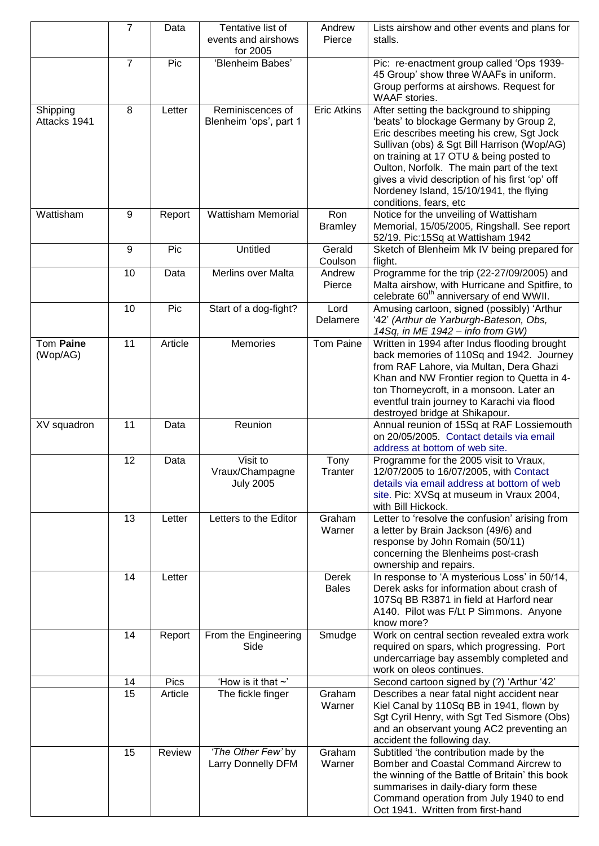|                              | $\overline{7}$ | Data    | Tentative list of<br>events and airshows<br>for 2005 | Andrew<br>Pierce      | Lists airshow and other events and plans for<br>stalls.                                                                                                                                                                                                                                                                                                                                          |
|------------------------------|----------------|---------|------------------------------------------------------|-----------------------|--------------------------------------------------------------------------------------------------------------------------------------------------------------------------------------------------------------------------------------------------------------------------------------------------------------------------------------------------------------------------------------------------|
|                              | $\overline{7}$ | Pic     | 'Blenheim Babes'                                     |                       | Pic: re-enactment group called 'Ops 1939-<br>45 Group' show three WAAFs in uniform.<br>Group performs at airshows. Request for<br>WAAF stories.                                                                                                                                                                                                                                                  |
| Shipping<br>Attacks 1941     | 8              | Letter  | Reminiscences of<br>Blenheim 'ops', part 1           | <b>Eric Atkins</b>    | After setting the background to shipping<br>'beats' to blockage Germany by Group 2,<br>Eric describes meeting his crew, Sgt Jock<br>Sullivan (obs) & Sgt Bill Harrison (Wop/AG)<br>on training at 17 OTU & being posted to<br>Oulton, Norfolk. The main part of the text<br>gives a vivid description of his first 'op' off<br>Nordeney Island, 15/10/1941, the flying<br>conditions, fears, etc |
| Wattisham                    | 9              | Report  | <b>Wattisham Memorial</b>                            | Ron<br><b>Bramley</b> | Notice for the unveiling of Wattisham<br>Memorial, 15/05/2005, Ringshall. See report<br>52/19. Pic:15Sq at Wattisham 1942                                                                                                                                                                                                                                                                        |
|                              | 9              | Pic     | Untitled                                             | Gerald<br>Coulson     | Sketch of Blenheim Mk IV being prepared for<br>flight.                                                                                                                                                                                                                                                                                                                                           |
|                              | 10             | Data    | <b>Merlins over Malta</b>                            | Andrew<br>Pierce      | Programme for the trip (22-27/09/2005) and<br>Malta airshow, with Hurricane and Spitfire, to<br>celebrate 60 <sup>th</sup> anniversary of end WWII.                                                                                                                                                                                                                                              |
|                              | 10             | Pic     | Start of a dog-fight?                                | Lord<br>Delamere      | Amusing cartoon, signed (possibly) 'Arthur<br>'42' (Arthur de Yarburgh-Bateson, Obs,<br>14Sq, in ME 1942 - info from GW)                                                                                                                                                                                                                                                                         |
| <b>Tom Paine</b><br>(Wop/AG) | 11             | Article | Memories                                             | Tom Paine             | Written in 1994 after Indus flooding brought<br>back memories of 110Sq and 1942. Journey<br>from RAF Lahore, via Multan, Dera Ghazi<br>Khan and NW Frontier region to Quetta in 4-<br>ton Thorneycroft, in a monsoon. Later an<br>eventful train journey to Karachi via flood<br>destroyed bridge at Shikapour.                                                                                  |
| XV squadron                  | 11             | Data    | Reunion                                              |                       | Annual reunion of 15Sq at RAF Lossiemouth<br>on 20/05/2005. Contact details via email<br>address at bottom of web site.                                                                                                                                                                                                                                                                          |
|                              | 12             | Data    | Visit to<br>Vraux/Champagne<br><b>July 2005</b>      | Tony<br>Tranter       | Programme for the 2005 visit to Vraux,<br>12/07/2005 to 16/07/2005, with Contact<br>details via email address at bottom of web<br>site. Pic: XVSq at museum in Vraux 2004,<br>with Bill Hickock.                                                                                                                                                                                                 |
|                              | 13             | Letter  | Letters to the Editor                                | Graham<br>Warner      | Letter to 'resolve the confusion' arising from<br>a letter by Brain Jackson (49/6) and<br>response by John Romain (50/11)<br>concerning the Blenheims post-crash<br>ownership and repairs.                                                                                                                                                                                                       |
|                              | 14             | Letter  |                                                      | Derek<br><b>Bales</b> | In response to 'A mysterious Loss' in 50/14,<br>Derek asks for information about crash of<br>107Sq BB R3871 in field at Harford near<br>A140. Pilot was F/Lt P Simmons. Anyone<br>know more?                                                                                                                                                                                                     |
|                              | 14             | Report  | From the Engineering<br>Side                         | Smudge                | Work on central section revealed extra work<br>required on spars, which progressing. Port<br>undercarriage bay assembly completed and<br>work on oleos continues.                                                                                                                                                                                                                                |
|                              | 14             | Pics    | 'How is it that $\sim$ '                             |                       | Second cartoon signed by (?) 'Arthur '42'                                                                                                                                                                                                                                                                                                                                                        |
|                              | 15             | Article | The fickle finger                                    | Graham<br>Warner      | Describes a near fatal night accident near<br>Kiel Canal by 110Sq BB in 1941, flown by<br>Sgt Cyril Henry, with Sgt Ted Sismore (Obs)<br>and an observant young AC2 preventing an<br>accident the following day.                                                                                                                                                                                 |
|                              | 15             | Review  | 'The Other Few' by<br>Larry Donnelly DFM             | Graham<br>Warner      | Subtitled 'the contribution made by the<br>Bomber and Coastal Command Aircrew to<br>the winning of the Battle of Britain' this book<br>summarises in daily-diary form these<br>Command operation from July 1940 to end<br>Oct 1941. Written from first-hand                                                                                                                                      |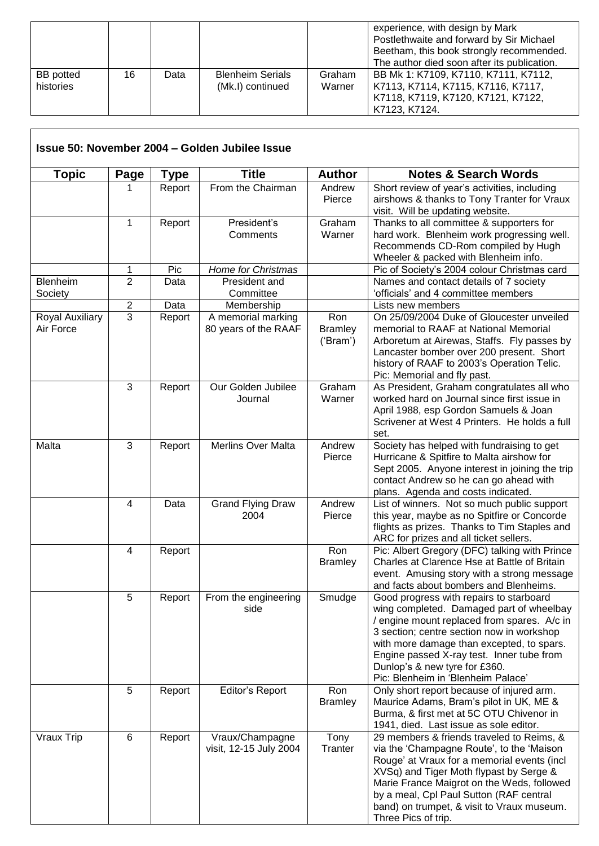|                               |    |      |                                             |                  | experience, with design by Mark<br>Postlethwaite and forward by Sir Michael<br>Beetham, this book strongly recommended.<br>The author died soon after its publication. |
|-------------------------------|----|------|---------------------------------------------|------------------|------------------------------------------------------------------------------------------------------------------------------------------------------------------------|
| <b>BB</b> potted<br>histories | 16 | Data | <b>Blenheim Serials</b><br>(Mk.I) continued | Graham<br>Warner | BB Mk 1: K7109, K7110, K7111, K7112,<br>K7113, K7114, K7115, K7116, K7117,<br>K7118, K7119, K7120, K7121, K7122,<br>K7123, K7124.                                      |

 $\overline{\phantom{a}}$ 

| <b>Topic</b>                                                      | Page                    | <b>Type</b>          | <b>Title</b>                              | <b>Author</b>                                                                                                                                                                                                                                              | <b>Notes &amp; Search Words</b>                                                                                                                                                                                                                                                                                                                  |
|-------------------------------------------------------------------|-------------------------|----------------------|-------------------------------------------|------------------------------------------------------------------------------------------------------------------------------------------------------------------------------------------------------------------------------------------------------------|--------------------------------------------------------------------------------------------------------------------------------------------------------------------------------------------------------------------------------------------------------------------------------------------------------------------------------------------------|
|                                                                   |                         | Report               | From the Chairman                         | Andrew<br>Pierce                                                                                                                                                                                                                                           | Short review of year's activities, including<br>airshows & thanks to Tony Tranter for Vraux<br>visit. Will be updating website.                                                                                                                                                                                                                  |
|                                                                   | 1                       | Report               | President's<br>Comments                   | Graham<br>Warner                                                                                                                                                                                                                                           | Thanks to all committee & supporters for<br>hard work. Blenheim work progressing well.<br>Recommends CD-Rom compiled by Hugh<br>Wheeler & packed with Blenheim info.                                                                                                                                                                             |
|                                                                   | 1                       | Pic                  | Home for Christmas                        |                                                                                                                                                                                                                                                            | Pic of Society's 2004 colour Christmas card                                                                                                                                                                                                                                                                                                      |
| Blenheim<br>Society                                               | $\overline{2}$          | Data                 | President and<br>Committee                |                                                                                                                                                                                                                                                            | Names and contact details of 7 society<br>'officials' and 4 committee members                                                                                                                                                                                                                                                                    |
|                                                                   | $\overline{\mathbf{c}}$ | Data                 | Membership                                |                                                                                                                                                                                                                                                            | Lists new members                                                                                                                                                                                                                                                                                                                                |
| 3<br>Report<br>Royal Auxiliary<br>A memorial marking<br>Air Force |                         | 80 years of the RAAF | Ron<br><b>Bramley</b><br>('Bram')         | On 25/09/2004 Duke of Gloucester unveiled<br>memorial to RAAF at National Memorial<br>Arboretum at Airewas, Staffs. Fly passes by<br>Lancaster bomber over 200 present. Short<br>history of RAAF to 2003's Operation Telic.<br>Pic: Memorial and fly past. |                                                                                                                                                                                                                                                                                                                                                  |
|                                                                   | 3                       | Report               | Our Golden Jubilee<br>Journal             | Graham<br>Warner                                                                                                                                                                                                                                           | As President, Graham congratulates all who<br>worked hard on Journal since first issue in<br>April 1988, esp Gordon Samuels & Joan<br>Scrivener at West 4 Printers. He holds a full<br>set.                                                                                                                                                      |
| Malta                                                             | 3                       | Report               | Merlins Over Malta                        | Andrew<br>Pierce                                                                                                                                                                                                                                           | Society has helped with fundraising to get<br>Hurricane & Spitfire to Malta airshow for<br>Sept 2005. Anyone interest in joining the trip<br>contact Andrew so he can go ahead with<br>plans. Agenda and costs indicated.                                                                                                                        |
|                                                                   | $\overline{\mathbf{4}}$ | Data                 | <b>Grand Flying Draw</b><br>2004          | Andrew<br>Pierce                                                                                                                                                                                                                                           | List of winners. Not so much public support<br>this year, maybe as no Spitfire or Concorde<br>flights as prizes. Thanks to Tim Staples and<br>ARC for prizes and all ticket sellers.                                                                                                                                                             |
|                                                                   | $\overline{4}$          | Report               |                                           | Ron<br><b>Bramley</b>                                                                                                                                                                                                                                      | Pic: Albert Gregory (DFC) talking with Prince<br>Charles at Clarence Hse at Battle of Britain<br>event. Amusing story with a strong message<br>and facts about bombers and Blenheims.                                                                                                                                                            |
|                                                                   | 5                       | Report               | From the engineering<br>side              | Smudge                                                                                                                                                                                                                                                     | Good progress with repairs to starboard<br>wing completed. Damaged part of wheelbay<br>/ engine mount replaced from spares. A/c in<br>3 section; centre section now in workshop<br>with more damage than excepted, to spars.<br>Engine passed X-ray test. Inner tube from<br>Dunlop's & new tyre for £360.<br>Pic: Blenheim in 'Blenheim Palace' |
|                                                                   | 5                       | Report               | Editor's Report                           | Ron<br><b>Bramley</b>                                                                                                                                                                                                                                      | Only short report because of injured arm.<br>Maurice Adams, Bram's pilot in UK, ME &<br>Burma, & first met at 5C OTU Chivenor in<br>1941, died. Last issue as sole editor.                                                                                                                                                                       |
| Vraux Trip                                                        | 6                       | Report               | Vraux/Champagne<br>visit, 12-15 July 2004 | Tony<br>Tranter                                                                                                                                                                                                                                            | 29 members & friends traveled to Reims, &<br>via the 'Champagne Route', to the 'Maison<br>Rouge' at Vraux for a memorial events (incl<br>XVSq) and Tiger Moth flypast by Serge &<br>Marie France Maigrot on the Weds, followed<br>by a meal, Cpl Paul Sutton (RAF central<br>band) on trumpet, & visit to Vraux museum.<br>Three Pics of trip.   |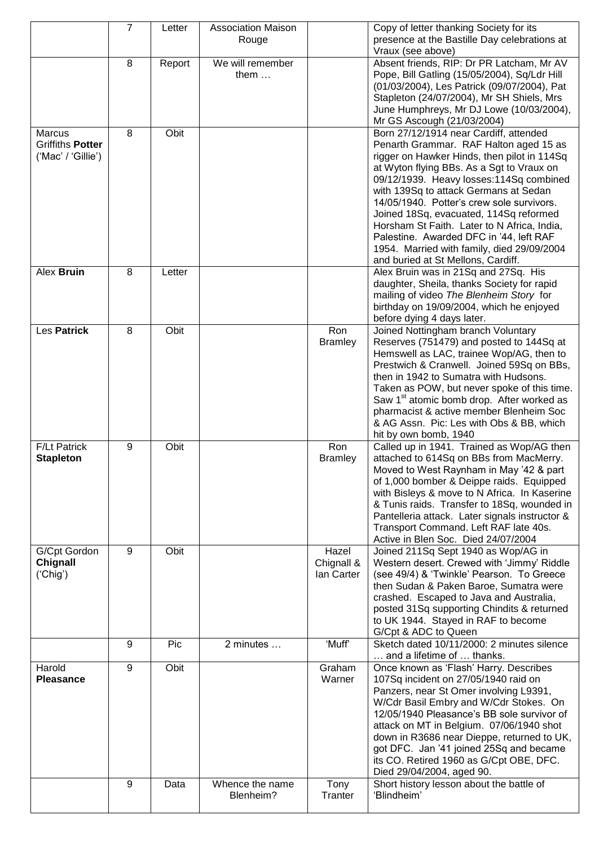|                                         | $\overline{7}$ | Letter | <b>Association Maison</b> |                                   | Copy of letter thanking Society for its                                                                                                                                                                                                                                                                                                                                                                                                                                                      |
|-----------------------------------------|----------------|--------|---------------------------|-----------------------------------|----------------------------------------------------------------------------------------------------------------------------------------------------------------------------------------------------------------------------------------------------------------------------------------------------------------------------------------------------------------------------------------------------------------------------------------------------------------------------------------------|
|                                         |                |        | Rouge                     |                                   | presence at the Bastille Day celebrations at<br>Vraux (see above)                                                                                                                                                                                                                                                                                                                                                                                                                            |
|                                         | 8              | Report | We will remember          |                                   | Absent friends, RIP: Dr PR Latcham, Mr AV                                                                                                                                                                                                                                                                                                                                                                                                                                                    |
|                                         |                |        | them $\dots$              |                                   | Pope, Bill Gatling (15/05/2004), Sq/Ldr Hill<br>(01/03/2004), Les Patrick (09/07/2004), Pat<br>Stapleton (24/07/2004), Mr SH Shiels, Mrs<br>June Humphreys, Mr DJ Lowe (10/03/2004),<br>Mr GS Ascough (21/03/2004)                                                                                                                                                                                                                                                                           |
| <b>Marcus</b>                           | 8              | Obit   |                           |                                   | Born 27/12/1914 near Cardiff, attended                                                                                                                                                                                                                                                                                                                                                                                                                                                       |
| Griffiths Potter<br>('Mac' / 'Gillie')  |                |        |                           |                                   | Penarth Grammar. RAF Halton aged 15 as<br>rigger on Hawker Hinds, then pilot in 114Sq<br>at Wyton flying BBs. As a Sgt to Vraux on<br>09/12/1939. Heavy losses: 114Sq combined<br>with 139Sq to attack Germans at Sedan<br>14/05/1940. Potter's crew sole survivors.<br>Joined 18Sq, evacuated, 114Sq reformed<br>Horsham St Faith. Later to N Africa, India,<br>Palestine. Awarded DFC in '44, left RAF<br>1954. Married with family, died 29/09/2004<br>and buried at St Mellons, Cardiff. |
| Alex Bruin                              | 8              | Letter |                           |                                   | Alex Bruin was in 21Sq and 27Sq. His<br>daughter, Sheila, thanks Society for rapid<br>mailing of video The Blenheim Story for<br>birthday on 19/09/2004, which he enjoyed<br>before dying 4 days later.                                                                                                                                                                                                                                                                                      |
| Les Patrick                             | 8              | Obit   |                           | Ron<br><b>Bramley</b>             | Joined Nottingham branch Voluntary<br>Reserves (751479) and posted to 144Sq at<br>Hemswell as LAC, trainee Wop/AG, then to<br>Prestwich & Cranwell. Joined 59Sq on BBs,<br>then in 1942 to Sumatra with Hudsons.<br>Taken as POW, but never spoke of this time.<br>Saw 1 <sup>st</sup> atomic bomb drop. After worked as<br>pharmacist & active member Blenheim Soc<br>& AG Assn. Pic: Les with Obs & BB, which<br>hit by own bomb, 1940                                                     |
| <b>F/Lt Patrick</b><br><b>Stapleton</b> | 9              | Obit   |                           | Ron<br><b>Bramley</b>             | Called up in 1941. Trained as Wop/AG then<br>attached to 614Sq on BBs from MacMerry.<br>Moved to West Raynham in May '42 & part<br>of 1,000 bomber & Deippe raids. Equipped<br>with Bisleys & move to N Africa. In Kaserine<br>& Tunis raids. Transfer to 18Sq, wounded in<br>Pantelleria attack. Later signals instructor &<br>Transport Command. Left RAF late 40s.<br>Active in Blen Soc. Died 24/07/2004                                                                                 |
| G/Cpt Gordon<br>Chignall<br>('Chig')    | 9              | Obit   |                           | Hazel<br>Chignall &<br>lan Carter | Joined 211Sq Sept 1940 as Wop/AG in<br>Western desert. Crewed with 'Jimmy' Riddle<br>(see 49/4) & 'Twinkle' Pearson. To Greece<br>then Sudan & Paken Baroe, Sumatra were<br>crashed. Escaped to Java and Australia,<br>posted 31Sq supporting Chindits & returned<br>to UK 1944. Stayed in RAF to become<br>G/Cpt & ADC to Queen                                                                                                                                                             |
|                                         | 9              | Pic    | 2 minutes                 | 'Muff'                            | Sketch dated 10/11/2000: 2 minutes silence<br>and a lifetime of  thanks.                                                                                                                                                                                                                                                                                                                                                                                                                     |
| Harold                                  | 9              | Obit   |                           | Graham                            | Once known as 'Flash' Harry. Describes                                                                                                                                                                                                                                                                                                                                                                                                                                                       |
| <b>Pleasance</b>                        | 9              | Data   | Whence the name           | Warner<br>Tony                    | 107Sq incident on 27/05/1940 raid on<br>Panzers, near St Omer involving L9391,<br>W/Cdr Basil Embry and W/Cdr Stokes. On<br>12/05/1940 Pleasance's BB sole survivor of<br>attack on MT in Belgium. 07/06/1940 shot<br>down in R3686 near Dieppe, returned to UK,<br>got DFC. Jan '41 joined 25Sq and became<br>its CO. Retired 1960 as G/Cpt OBE, DFC.<br>Died 29/04/2004, aged 90.<br>Short history lesson about the battle of                                                              |
|                                         |                |        | Blenheim?                 | Tranter                           | 'Blindheim'                                                                                                                                                                                                                                                                                                                                                                                                                                                                                  |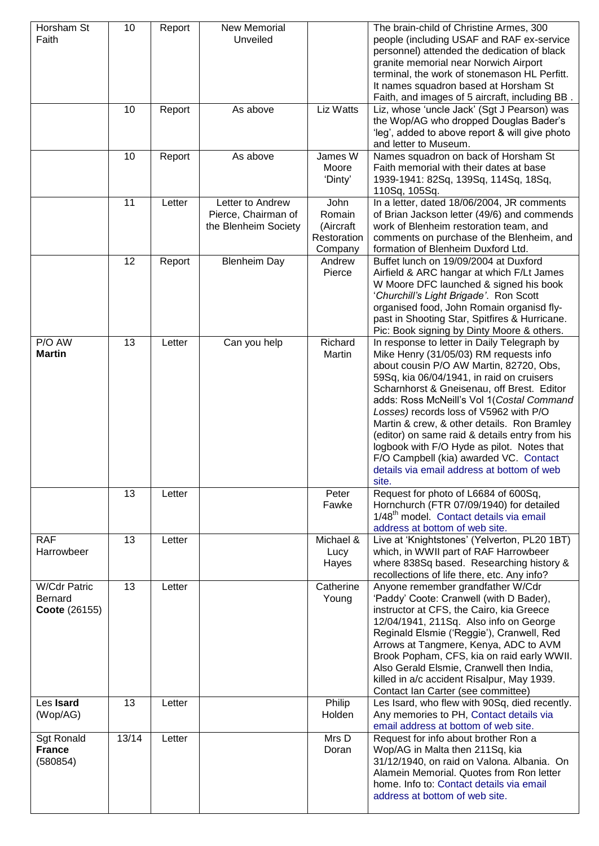| Horsham St<br>Faith                             | 10    | Report | New Memorial<br>Unveiled                                        |                                                       | The brain-child of Christine Armes, 300<br>people (including USAF and RAF ex-service<br>personnel) attended the dedication of black<br>granite memorial near Norwich Airport<br>terminal, the work of stonemason HL Perfitt.<br>It names squadron based at Horsham St<br>Faith, and images of 5 aircraft, including BB.                                                                                                                                                                                                                                            |
|-------------------------------------------------|-------|--------|-----------------------------------------------------------------|-------------------------------------------------------|--------------------------------------------------------------------------------------------------------------------------------------------------------------------------------------------------------------------------------------------------------------------------------------------------------------------------------------------------------------------------------------------------------------------------------------------------------------------------------------------------------------------------------------------------------------------|
|                                                 | 10    | Report | As above                                                        | Liz Watts                                             | Liz, whose 'uncle Jack' (Sgt J Pearson) was<br>the Wop/AG who dropped Douglas Bader's<br>'leg', added to above report & will give photo<br>and letter to Museum.                                                                                                                                                                                                                                                                                                                                                                                                   |
|                                                 | 10    | Report | As above                                                        | James W<br>Moore<br>'Dinty'                           | Names squadron on back of Horsham St<br>Faith memorial with their dates at base<br>1939-1941: 82Sq, 139Sq, 114Sq, 18Sq,<br>110Sq, 105Sq.                                                                                                                                                                                                                                                                                                                                                                                                                           |
|                                                 | 11    | Letter | Letter to Andrew<br>Pierce, Chairman of<br>the Blenheim Society | John<br>Romain<br>(Aircraft<br>Restoration<br>Company | In a letter, dated 18/06/2004, JR comments<br>of Brian Jackson letter (49/6) and commends<br>work of Blenheim restoration team, and<br>comments on purchase of the Blenheim, and<br>formation of Blenheim Duxford Ltd.                                                                                                                                                                                                                                                                                                                                             |
|                                                 | 12    | Report | <b>Blenheim Day</b>                                             | Andrew<br>Pierce                                      | Buffet lunch on 19/09/2004 at Duxford<br>Airfield & ARC hangar at which F/Lt James<br>W Moore DFC launched & signed his book<br>'Churchill's Light Brigade'. Ron Scott<br>organised food, John Romain organisd fly-<br>past in Shooting Star, Spitfires & Hurricane.<br>Pic: Book signing by Dinty Moore & others.                                                                                                                                                                                                                                                 |
| P/O AW<br><b>Martin</b>                         | 13    | Letter | Can you help                                                    | Richard<br>Martin                                     | In response to letter in Daily Telegraph by<br>Mike Henry (31/05/03) RM requests info<br>about cousin P/O AW Martin, 82720, Obs,<br>59Sq, kia 06/04/1941, in raid on cruisers<br>Scharnhorst & Gneisenau, off Brest. Editor<br>adds: Ross McNeill's Vol 1(Costal Command<br>Losses) records loss of V5962 with P/O<br>Martin & crew, & other details. Ron Bramley<br>(editor) on same raid & details entry from his<br>logbook with F/O Hyde as pilot. Notes that<br>F/O Campbell (kia) awarded VC. Contact<br>details via email address at bottom of web<br>site. |
|                                                 | 13    | Letter |                                                                 | Peter<br>Fawke                                        | Request for photo of L6684 of 600Sq,<br>Hornchurch (FTR 07/09/1940) for detailed<br>1/48 <sup>th</sup> model. Contact details via email<br>address at bottom of web site.                                                                                                                                                                                                                                                                                                                                                                                          |
| <b>RAF</b><br>Harrowbeer                        | 13    | Letter |                                                                 | Michael &<br>Lucy<br>Hayes                            | Live at 'Knightstones' (Yelverton, PL20 1BT)<br>which, in WWII part of RAF Harrowbeer<br>where 838Sq based. Researching history &<br>recollections of life there, etc. Any info?                                                                                                                                                                                                                                                                                                                                                                                   |
| <b>W/Cdr Patric</b><br>Bernard<br>Coote (26155) | 13    | Letter |                                                                 | Catherine<br>Young                                    | Anyone remember grandfather W/Cdr<br>'Paddy' Coote: Cranwell (with D Bader),<br>instructor at CFS, the Cairo, kia Greece<br>12/04/1941, 211Sq. Also info on George<br>Reginald Elsmie ('Reggie'), Cranwell, Red<br>Arrows at Tangmere, Kenya, ADC to AVM<br>Brook Popham, CFS, kia on raid early WWII.<br>Also Gerald Elsmie, Cranwell then India,<br>killed in a/c accident Risalpur, May 1939.<br>Contact Ian Carter (see committee)                                                                                                                             |
| Les Isard<br>(Wop/AG)                           | 13    | Letter |                                                                 | Philip<br>Holden                                      | Les Isard, who flew with 90Sq, died recently.<br>Any memories to PH, Contact details via<br>email address at bottom of web site.                                                                                                                                                                                                                                                                                                                                                                                                                                   |
| <b>Sgt Ronald</b><br><b>France</b><br>(580854)  | 13/14 | Letter |                                                                 | Mrs D<br>Doran                                        | Request for info about brother Ron a<br>Wop/AG in Malta then 211Sq, kia<br>31/12/1940, on raid on Valona. Albania. On<br>Alamein Memorial. Quotes from Ron letter<br>home. Info to: Contact details via email<br>address at bottom of web site.                                                                                                                                                                                                                                                                                                                    |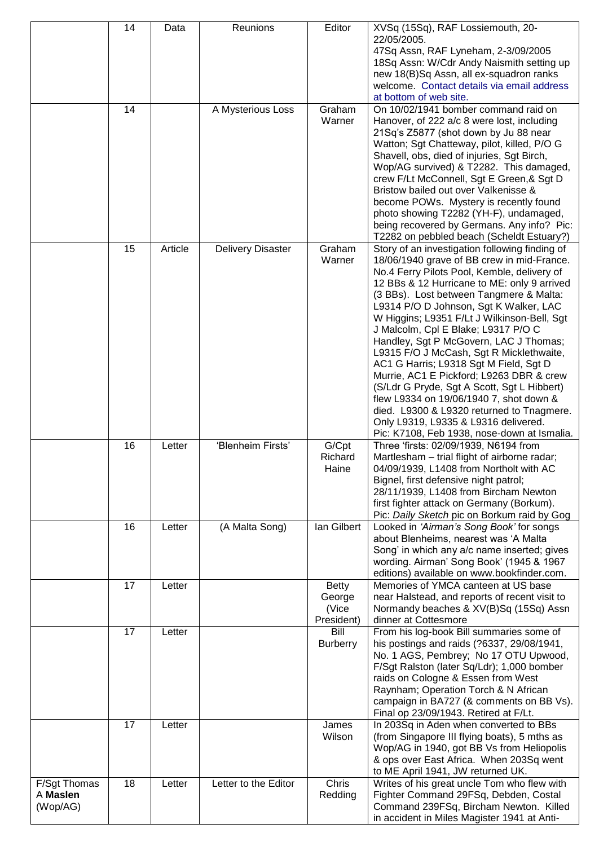|                                      | 14<br>14 | Data    | Reunions<br>A Mysterious Loss | Editor<br>Graham<br>Warner                    | XVSq (15Sq), RAF Lossiemouth, 20-<br>22/05/2005.<br>47Sq Assn, RAF Lyneham, 2-3/09/2005<br>18Sq Assn: W/Cdr Andy Naismith setting up<br>new 18(B)Sq Assn, all ex-squadron ranks<br>welcome. Contact details via email address<br>at bottom of web site.<br>On 10/02/1941 bomber command raid on<br>Hanover, of 222 a/c 8 were lost, including<br>21Sq's Z5877 (shot down by Ju 88 near<br>Watton; Sgt Chatteway, pilot, killed, P/O G<br>Shavell, obs, died of injuries, Sgt Birch,<br>Wop/AG survived) & T2282. This damaged,<br>crew F/Lt McConnell, Sgt E Green, & Sgt D<br>Bristow bailed out over Valkenisse &<br>become POWs. Mystery is recently found<br>photo showing T2282 (YH-F), undamaged,<br>being recovered by Germans. Any info? Pic:                                                                        |
|--------------------------------------|----------|---------|-------------------------------|-----------------------------------------------|------------------------------------------------------------------------------------------------------------------------------------------------------------------------------------------------------------------------------------------------------------------------------------------------------------------------------------------------------------------------------------------------------------------------------------------------------------------------------------------------------------------------------------------------------------------------------------------------------------------------------------------------------------------------------------------------------------------------------------------------------------------------------------------------------------------------------|
|                                      | 15       | Article | <b>Delivery Disaster</b>      | Graham<br>Warner                              | T2282 on pebbled beach (Scheldt Estuary?)<br>Story of an investigation following finding of<br>18/06/1940 grave of BB crew in mid-France.<br>No.4 Ferry Pilots Pool, Kemble, delivery of<br>12 BBs & 12 Hurricane to ME: only 9 arrived<br>(3 BBs). Lost between Tangmere & Malta:<br>L9314 P/O D Johnson, Sgt K Walker, LAC<br>W Higgins; L9351 F/Lt J Wilkinson-Bell, Sgt<br>J Malcolm, Cpl E Blake; L9317 P/O C<br>Handley, Sgt P McGovern, LAC J Thomas;<br>L9315 F/O J McCash, Sgt R Micklethwaite,<br>AC1 G Harris; L9318 Sgt M Field, Sgt D<br>Murrie, AC1 E Pickford; L9263 DBR & crew<br>(S/Ldr G Pryde, Sgt A Scott, Sgt L Hibbert)<br>flew L9334 on 19/06/1940 7, shot down &<br>died. L9300 & L9320 returned to Tnagmere.<br>Only L9319, L9335 & L9316 delivered.<br>Pic: K7108, Feb 1938, nose-down at Ismalia. |
|                                      | 16       | Letter  | 'Blenheim Firsts'             | G/Cpt<br>Richard<br>Haine                     | Three 'firsts: 02/09/1939, N6194 from<br>Martlesham - trial flight of airborne radar;<br>04/09/1939, L1408 from Northolt with AC<br>Bignel, first defensive night patrol;<br>28/11/1939, L1408 from Bircham Newton<br>first fighter attack on Germany (Borkum).<br>Pic: Daily Sketch pic on Borkum raid by Gog                                                                                                                                                                                                                                                                                                                                                                                                                                                                                                               |
|                                      | 16       | Letter  | (A Malta Song)                | lan Gilbert                                   | Looked in 'Airman's Song Book' for songs<br>about Blenheims, nearest was 'A Malta<br>Song' in which any a/c name inserted; gives<br>wording. Airman' Song Book' (1945 & 1967<br>editions) available on www.bookfinder.com.                                                                                                                                                                                                                                                                                                                                                                                                                                                                                                                                                                                                   |
|                                      | 17       | Letter  |                               | <b>Betty</b><br>George<br>(Vice<br>President) | Memories of YMCA canteen at US base<br>near Halstead, and reports of recent visit to<br>Normandy beaches & XV(B)Sq (15Sq) Assn<br>dinner at Cottesmore                                                                                                                                                                                                                                                                                                                                                                                                                                                                                                                                                                                                                                                                       |
|                                      | 17       | Letter  |                               | Bill<br><b>Burberry</b>                       | From his log-book Bill summaries some of<br>his postings and raids (?6337, 29/08/1941,<br>No. 1 AGS, Pembrey; No 17 OTU Upwood,<br>F/Sgt Ralston (later Sq/Ldr); 1,000 bomber<br>raids on Cologne & Essen from West<br>Raynham; Operation Torch & N African<br>campaign in BA727 (& comments on BB Vs).<br>Final op 23/09/1943. Retired at F/Lt.                                                                                                                                                                                                                                                                                                                                                                                                                                                                             |
|                                      | 17       | Letter  |                               | James<br>Wilson                               | In 203Sq in Aden when converted to BBs<br>(from Singapore III flying boats), 5 mths as<br>Wop/AG in 1940, got BB Vs from Heliopolis<br>& ops over East Africa. When 203Sq went<br>to ME April 1941, JW returned UK.                                                                                                                                                                                                                                                                                                                                                                                                                                                                                                                                                                                                          |
| F/Sgt Thomas<br>A Maslen<br>(Wop/AG) | 18       | Letter  | Letter to the Editor          | Chris<br>Redding                              | Writes of his great uncle Tom who flew with<br>Fighter Command 29FSq, Debden, Costal<br>Command 239FSq, Bircham Newton. Killed<br>in accident in Miles Magister 1941 at Anti-                                                                                                                                                                                                                                                                                                                                                                                                                                                                                                                                                                                                                                                |